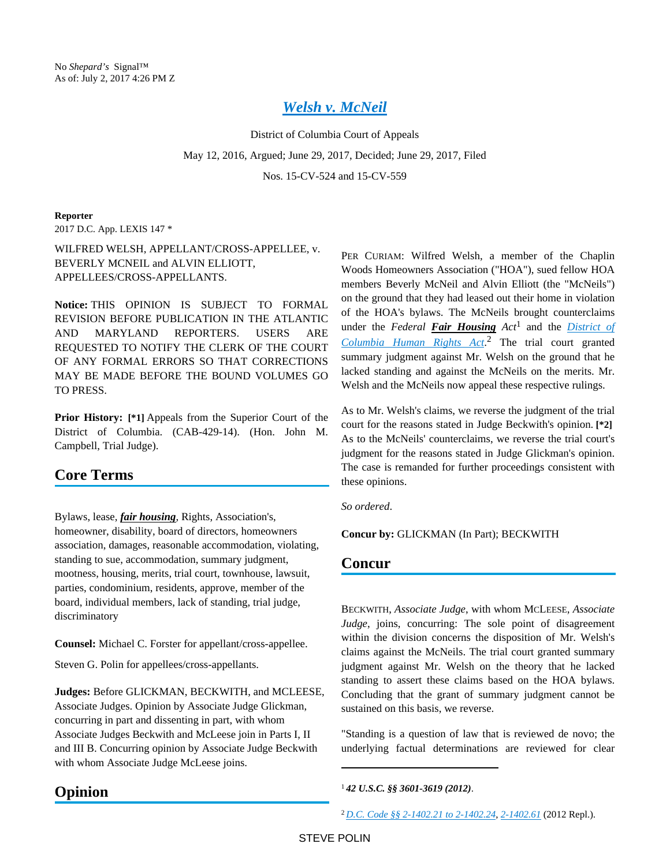# *[Welsh v. McNeil](https://advance.lexis.com/api/document?collection=cases&id=urn:contentItem:5NWX-FFC1-F04C-F02S-00000-00&context=)*

District of Columbia Court of Appeals

May 12, 2016, Argued; June 29, 2017, Decided; June 29, 2017, Filed

Nos. 15-CV-524 and 15-CV-559

**Reporter**

2017 D.C. App. LEXIS 147 \*

WILFRED WELSH, APPELLANT/CROSS-APPELLEE, v. BEVERLY MCNEIL and ALVIN ELLIOTT, APPELLEES/CROSS-APPELLANTS.

**Notice:** THIS OPINION IS SUBJECT TO FORMAL REVISION BEFORE PUBLICATION IN THE ATLANTIC AND MARYLAND REPORTERS. USERS ARE REQUESTED TO NOTIFY THE CLERK OF THE COURT OF ANY FORMAL ERRORS SO THAT CORRECTIONS MAY BE MADE BEFORE THE BOUND VOLUMES GO TO PRESS.

**Prior History:** [\*1] Appeals from the Superior Court of the District of Columbia. (CAB-429-14). (Hon. John M. Campbell, Trial Judge).

# **Core Terms**

Bylaws, lease, *fair housing*, Rights, Association's, homeowner, disability, board of directors, homeowners association, damages, reasonable accommodation, violating, standing to sue, accommodation, summary judgment, mootness, housing, merits, trial court, townhouse, lawsuit, parties, condominium, residents, approve, member of the board, individual members, lack of standing, trial judge, discriminatory

**Counsel:** Michael C. Forster for appellant/cross-appellee.

Steven G. Polin for appellees/cross-appellants.

**Judges:** Before GLICKMAN, BECKWITH, and MCLEESE, Associate Judges. Opinion by Associate Judge Glickman, concurring in part and dissenting in part, with whom Associate Judges Beckwith and McLeese join in Parts I, II and III B. Concurring opinion by Associate Judge Beckwith with whom Associate Judge McLeese joins.

PER CURIAM: Wilfred Welsh, a member of the Chaplin Woods Homeowners Association ("HOA"), sued fellow HOA members Beverly McNeil and Alvin Elliott (the "McNeils") on the ground that they had leased out their home in violation of the HOA's bylaws. The McNeils brought counterclaims under the *Federal Fair Housing Act*<sup>1</sup> and the *[District of](https://advance.lexis.com/api/document?collection=statutes-legislation&id=urn:contentItem:5CC4-MFR1-6NSS-B51N-00000-00&context=)  [Columbia Human Rights Act](https://advance.lexis.com/api/document?collection=statutes-legislation&id=urn:contentItem:5CC4-MFR1-6NSS-B51N-00000-00&context=)*. 2 The trial court granted summary judgment against Mr. Welsh on the ground that he lacked standing and against the McNeils on the merits. Mr. Welsh and the McNeils now appeal these respective rulings.

As to Mr. Welsh's claims, we reverse the judgment of the trial court for the reasons stated in Judge Beckwith's opinion. **[\*2]**  As to the McNeils' counterclaims, we reverse the trial court's judgment for the reasons stated in Judge Glickman's opinion. The case is remanded for further proceedings consistent with these opinions.

*So ordered*.

**Concur by:** GLICKMAN (In Part); BECKWITH

# **Concur**

BECKWITH, *Associate Judge*, with whom MCLEESE, *Associate Judge*, joins, concurring: The sole point of disagreement within the division concerns the disposition of Mr. Welsh's claims against the McNeils. The trial court granted summary judgment against Mr. Welsh on the theory that he lacked standing to assert these claims based on the HOA bylaws. Concluding that the grant of summary judgment cannot be sustained on this basis, we reverse.

"Standing is a question of law that is reviewed de novo; the underlying factual determinations are reviewed for clear

# **Opinion**

<sup>1</sup>*42 U.S.C. §§ 3601-3619 (2012)*.

<sup>2</sup> *[D.C. Code §§ 2-1402.21 to 2-1402.24](https://advance.lexis.com/api/document?collection=statutes-legislation&id=urn:contentItem:5CC4-MFR1-6NSS-B4YX-00000-00&context=)*, *[2-1402.61](https://advance.lexis.com/api/document?collection=statutes-legislation&id=urn:contentItem:5CC4-MFR1-6NSS-B50D-00000-00&context=)* (2012 Repl.).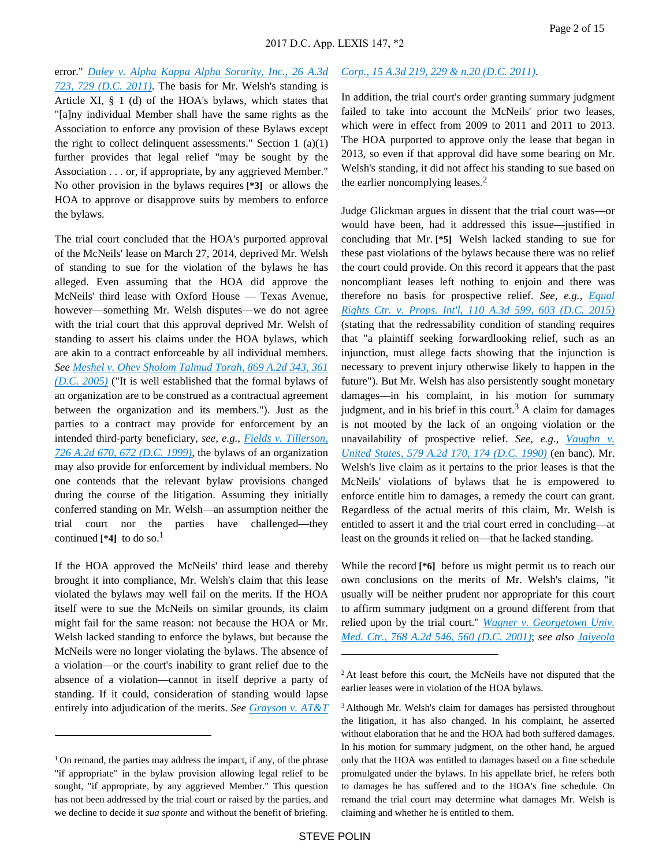error." *[Daley v. Alpha Kappa Alpha Sorority, Inc., 26 A.3d](https://advance.lexis.com/api/document?collection=cases&id=urn:contentItem:8307-3F91-652G-W029-00000-00&context=)  [723, 729 \(D.C. 2011\)](https://advance.lexis.com/api/document?collection=cases&id=urn:contentItem:8307-3F91-652G-W029-00000-00&context=)*. The basis for Mr. Welsh's standing is Article XI, § 1 (d) of the HOA's bylaws, which states that "[a]ny individual Member shall have the same rights as the Association to enforce any provision of these Bylaws except the right to collect delinquent assessments." Section  $1$  (a)(1) further provides that legal relief "may be sought by the Association . . . or, if appropriate, by any aggrieved Member." No other provision in the bylaws requires **[\*3]** or allows the HOA to approve or disapprove suits by members to enforce the bylaws.

The trial court concluded that the HOA's purported approval of the McNeils' lease on March 27, 2014, deprived Mr. Welsh of standing to sue for the violation of the bylaws he has alleged. Even assuming that the HOA did approve the McNeils' third lease with Oxford House — Texas Avenue, however—something Mr. Welsh disputes—we do not agree with the trial court that this approval deprived Mr. Welsh of standing to assert his claims under the HOA bylaws, which are akin to a contract enforceable by all individual members. *See [Meshel v. Ohev Sholom Talmud Torah, 869 A.2d 343, 361](https://advance.lexis.com/api/document?collection=cases&id=urn:contentItem:4FNN-K3M0-0039-443V-00000-00&context=)  [\(D.C. 2005\)](https://advance.lexis.com/api/document?collection=cases&id=urn:contentItem:4FNN-K3M0-0039-443V-00000-00&context=)* ("It is well established that the formal bylaws of an organization are to be construed as a contractual agreement between the organization and its members."). Just as the parties to a contract may provide for enforcement by an intended third-party beneficiary, *see, e.g., [Fields v. Tillerson,](https://advance.lexis.com/api/document?collection=cases&id=urn:contentItem:3VY0-MW40-0039-449V-00000-00&context=)  [726 A.2d 670, 672 \(D.C. 1999\)](https://advance.lexis.com/api/document?collection=cases&id=urn:contentItem:3VY0-MW40-0039-449V-00000-00&context=)*, the bylaws of an organization may also provide for enforcement by individual members. No one contends that the relevant bylaw provisions changed during the course of the litigation. Assuming they initially conferred standing on Mr. Welsh—an assumption neither the trial court nor the parties have challenged—they continued  $[44]$  to do so.<sup>1</sup>

If the HOA approved the McNeils' third lease and thereby brought it into compliance, Mr. Welsh's claim that this lease violated the bylaws may well fail on the merits. If the HOA itself were to sue the McNeils on similar grounds, its claim might fail for the same reason: not because the HOA or Mr. Welsh lacked standing to enforce the bylaws, but because the McNeils were no longer violating the bylaws. The absence of a violation—or the court's inability to grant relief due to the absence of a violation—cannot in itself deprive a party of standing. If it could, consideration of standing would lapse entirely into adjudication of the merits. *See [Grayson v. AT&T](https://advance.lexis.com/api/document?collection=cases&id=urn:contentItem:520D-STK1-652G-W00D-00000-00&context=)* 

#### *[Corp., 15 A.3d 219, 229 & n.20 \(D.C. 2011\)](https://advance.lexis.com/api/document?collection=cases&id=urn:contentItem:520D-STK1-652G-W00D-00000-00&context=)*.

In addition, the trial court's order granting summary judgment failed to take into account the McNeils' prior two leases, which were in effect from 2009 to 2011 and 2011 to 2013. The HOA purported to approve only the lease that began in 2013, so even if that approval did have some bearing on Mr. Welsh's standing, it did not affect his standing to sue based on the earlier noncomplying leases. $<sup>2</sup>$ </sup>

Judge Glickman argues in dissent that the trial court was—or would have been, had it addressed this issue—justified in concluding that Mr. **[\*5]** Welsh lacked standing to sue for these past violations of the bylaws because there was no relief the court could provide. On this record it appears that the past noncompliant leases left nothing to enjoin and there was therefore no basis for prospective relief. *See, e.g., [Equal](https://advance.lexis.com/api/document?collection=cases&id=urn:contentItem:5FCW-2VT1-F04C-F00H-00000-00&context=)  [Rights Ctr. v. Props. Int'l, 110 A.3d 599, 603 \(D.C. 2015\)](https://advance.lexis.com/api/document?collection=cases&id=urn:contentItem:5FCW-2VT1-F04C-F00H-00000-00&context=)* (stating that the redressability condition of standing requires that "a plaintiff seeking forwardlooking relief, such as an injunction, must allege facts showing that the injunction is necessary to prevent injury otherwise likely to happen in the future"). But Mr. Welsh has also persistently sought monetary damages—in his complaint, in his motion for summary judgment, and in his brief in this court.<sup>3</sup> A claim for damages is not mooted by the lack of an ongoing violation or the unavailability of prospective relief. See, e.g., Vaughn v. *[United States, 579 A.2d 170, 174 \(D.C. 1990\)](https://advance.lexis.com/api/document?collection=cases&id=urn:contentItem:3RRT-92G0-003G-12M2-00000-00&context=)* (en banc). Mr. Welsh's live claim as it pertains to the prior leases is that the McNeils' violations of bylaws that he is empowered to enforce entitle him to damages, a remedy the court can grant. Regardless of the actual merits of this claim, Mr. Welsh is entitled to assert it and the trial court erred in concluding—at least on the grounds it relied on—that he lacked standing.

While the record **[\*6]** before us might permit us to reach our own conclusions on the merits of Mr. Welsh's claims, "it usually will be neither prudent nor appropriate for this court to affirm summary judgment on a ground different from that relied upon by the trial court." *[Wagner v. Georgetown Univ.](https://advance.lexis.com/api/document?collection=cases&id=urn:contentItem:42HR-7470-0039-40H7-00000-00&context=)  [Med. Ctr., 768 A.2d 546, 560 \(D.C. 2001\)](https://advance.lexis.com/api/document?collection=cases&id=urn:contentItem:42HR-7470-0039-40H7-00000-00&context=)*; *see also [Jaiyeola](https://advance.lexis.com/api/document?collection=cases&id=urn:contentItem:558Y-SC51-F04C-F088-00000-00&context=)* 

<sup>&</sup>lt;sup>1</sup> On remand, the parties may address the impact, if any, of the phrase "if appropriate" in the bylaw provision allowing legal relief to be sought, "if appropriate, by any aggrieved Member." This question has not been addressed by the trial court or raised by the parties, and we decline to decide it *sua sponte* and without the benefit of briefing.

<sup>&</sup>lt;sup>2</sup> At least before this court, the McNeils have not disputed that the earlier leases were in violation of the HOA bylaws.

<sup>3</sup>Although Mr. Welsh's claim for damages has persisted throughout the litigation, it has also changed. In his complaint, he asserted without elaboration that he and the HOA had both suffered damages. In his motion for summary judgment, on the other hand, he argued only that the HOA was entitled to damages based on a fine schedule promulgated under the bylaws. In his appellate brief, he refers both to damages he has suffered and to the HOA's fine schedule. On remand the trial court may determine what damages Mr. Welsh is claiming and whether he is entitled to them.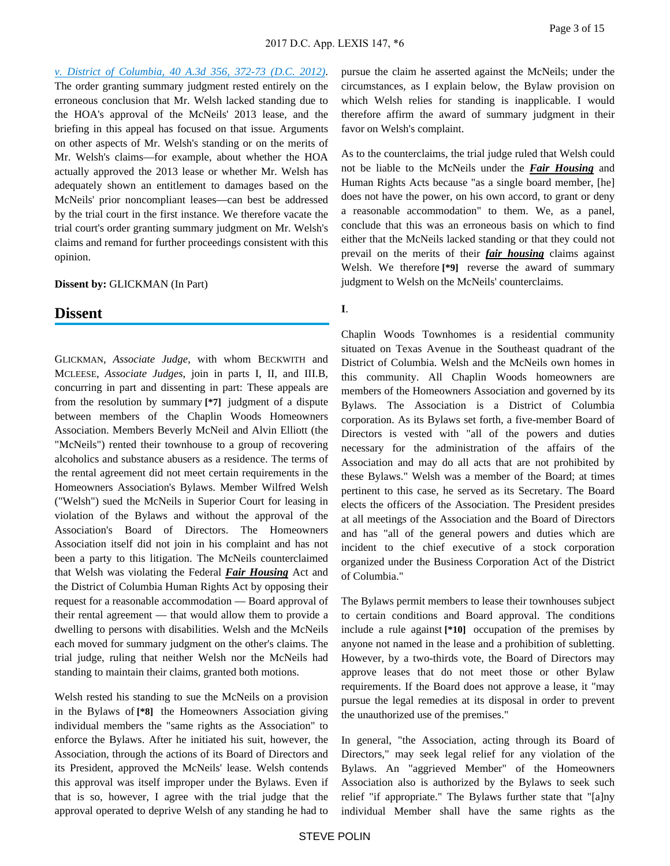*[v. District of Columbia, 40 A.3d 356, 372-73 \(D.C. 2012\)](https://advance.lexis.com/api/document?collection=cases&id=urn:contentItem:558Y-SC51-F04C-F088-00000-00&context=)*. The order granting summary judgment rested entirely on the erroneous conclusion that Mr. Welsh lacked standing due to the HOA's approval of the McNeils' 2013 lease, and the briefing in this appeal has focused on that issue. Arguments on other aspects of Mr. Welsh's standing or on the merits of Mr. Welsh's claims—for example, about whether the HOA actually approved the 2013 lease or whether Mr. Welsh has adequately shown an entitlement to damages based on the McNeils' prior noncompliant leases—can best be addressed by the trial court in the first instance. We therefore vacate the trial court's order granting summary judgment on Mr. Welsh's claims and remand for further proceedings consistent with this opinion.

#### **Dissent by:** GLICKMAN (In Part)

## **Dissent**

GLICKMAN, *Associate Judge*, with whom BECKWITH and MCLEESE, *Associate Judges*, join in parts I, II, and III.B, concurring in part and dissenting in part: These appeals are from the resolution by summary **[\*7]** judgment of a dispute between members of the Chaplin Woods Homeowners Association. Members Beverly McNeil and Alvin Elliott (the "McNeils") rented their townhouse to a group of recovering alcoholics and substance abusers as a residence. The terms of the rental agreement did not meet certain requirements in the Homeowners Association's Bylaws. Member Wilfred Welsh ("Welsh") sued the McNeils in Superior Court for leasing in violation of the Bylaws and without the approval of the Association's Board of Directors. The Homeowners Association itself did not join in his complaint and has not been a party to this litigation. The McNeils counterclaimed that Welsh was violating the Federal *Fair Housing* Act and the District of Columbia Human Rights Act by opposing their request for a reasonable accommodation — Board approval of their rental agreement — that would allow them to provide a dwelling to persons with disabilities. Welsh and the McNeils each moved for summary judgment on the other's claims. The trial judge, ruling that neither Welsh nor the McNeils had standing to maintain their claims, granted both motions.

Welsh rested his standing to sue the McNeils on a provision in the Bylaws of **[\*8]** the Homeowners Association giving individual members the "same rights as the Association" to enforce the Bylaws. After he initiated his suit, however, the Association, through the actions of its Board of Directors and its President, approved the McNeils' lease. Welsh contends this approval was itself improper under the Bylaws. Even if that is so, however, I agree with the trial judge that the approval operated to deprive Welsh of any standing he had to

pursue the claim he asserted against the McNeils; under the circumstances, as I explain below, the Bylaw provision on which Welsh relies for standing is inapplicable. I would therefore affirm the award of summary judgment in their favor on Welsh's complaint.

As to the counterclaims, the trial judge ruled that Welsh could not be liable to the McNeils under the *Fair Housing* and Human Rights Acts because "as a single board member, [he] does not have the power, on his own accord, to grant or deny a reasonable accommodation" to them. We, as a panel, conclude that this was an erroneous basis on which to find either that the McNeils lacked standing or that they could not prevail on the merits of their *fair housing* claims against Welsh. We therefore **[\*9]** reverse the award of summary judgment to Welsh on the McNeils' counterclaims.

## **I**.

Chaplin Woods Townhomes is a residential community situated on Texas Avenue in the Southeast quadrant of the District of Columbia. Welsh and the McNeils own homes in this community. All Chaplin Woods homeowners are members of the Homeowners Association and governed by its Bylaws. The Association is a District of Columbia corporation. As its Bylaws set forth, a five-member Board of Directors is vested with "all of the powers and duties necessary for the administration of the affairs of the Association and may do all acts that are not prohibited by these Bylaws." Welsh was a member of the Board; at times pertinent to this case, he served as its Secretary. The Board elects the officers of the Association. The President presides at all meetings of the Association and the Board of Directors and has "all of the general powers and duties which are incident to the chief executive of a stock corporation organized under the Business Corporation Act of the District of Columbia."

The Bylaws permit members to lease their townhouses subject to certain conditions and Board approval. The conditions include a rule against **[\*10]** occupation of the premises by anyone not named in the lease and a prohibition of subletting. However, by a two-thirds vote, the Board of Directors may approve leases that do not meet those or other Bylaw requirements. If the Board does not approve a lease, it "may pursue the legal remedies at its disposal in order to prevent the unauthorized use of the premises."

In general, "the Association, acting through its Board of Directors," may seek legal relief for any violation of the Bylaws. An "aggrieved Member" of the Homeowners Association also is authorized by the Bylaws to seek such relief "if appropriate." The Bylaws further state that "[a]ny individual Member shall have the same rights as the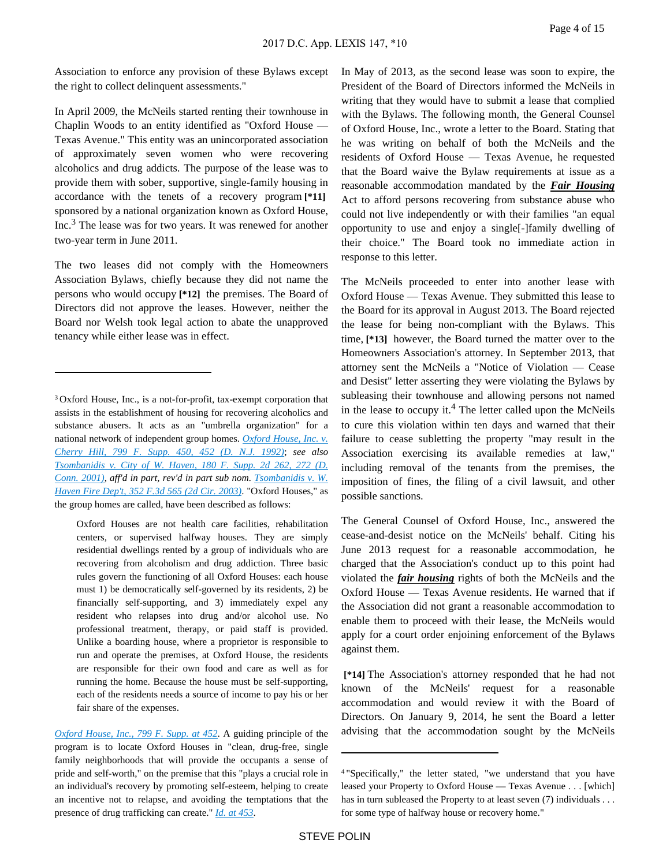Association to enforce any provision of these Bylaws except the right to collect delinquent assessments."

In April 2009, the McNeils started renting their townhouse in Chaplin Woods to an entity identified as "Oxford House — Texas Avenue." This entity was an unincorporated association of approximately seven women who were recovering alcoholics and drug addicts. The purpose of the lease was to provide them with sober, supportive, single-family housing in accordance with the tenets of a recovery program **[\*11]**  sponsored by a national organization known as Oxford House, Inc.<sup>3</sup> The lease was for two years. It was renewed for another two-year term in June 2011.

The two leases did not comply with the Homeowners Association Bylaws, chiefly because they did not name the persons who would occupy **[\*12]** the premises. The Board of Directors did not approve the leases. However, neither the Board nor Welsh took legal action to abate the unapproved tenancy while either lease was in effect.

Oxford Houses are not health care facilities, rehabilitation centers, or supervised halfway houses. They are simply residential dwellings rented by a group of individuals who are recovering from alcoholism and drug addiction. Three basic rules govern the functioning of all Oxford Houses: each house must 1) be democratically self-governed by its residents, 2) be financially self-supporting, and 3) immediately expel any resident who relapses into drug and/or alcohol use. No professional treatment, therapy, or paid staff is provided. Unlike a boarding house, where a proprietor is responsible to run and operate the premises, at Oxford House, the residents are responsible for their own food and care as well as for running the home. Because the house must be self-supporting, each of the residents needs a source of income to pay his or her fair share of the expenses.

*[Oxford House, Inc., 799 F. Supp. at 452](https://advance.lexis.com/api/document?collection=cases&id=urn:contentItem:3S4N-GPD0-008H-F367-00000-00&context=)*. A guiding principle of the program is to locate Oxford Houses in "clean, drug-free, single family neighborhoods that will provide the occupants a sense of pride and self-worth," on the premise that this "plays a crucial role in an individual's recovery by promoting self-esteem, helping to create an incentive not to relapse, and avoiding the temptations that the presence of drug trafficking can create." *[Id. at 453](https://advance.lexis.com/api/document?collection=cases&id=urn:contentItem:3S4N-GPD0-008H-F367-00000-00&context=)*.

In May of 2013, as the second lease was soon to expire, the President of the Board of Directors informed the McNeils in writing that they would have to submit a lease that complied with the Bylaws. The following month, the General Counsel of Oxford House, Inc., wrote a letter to the Board. Stating that he was writing on behalf of both the McNeils and the residents of Oxford House — Texas Avenue, he requested that the Board waive the Bylaw requirements at issue as a reasonable accommodation mandated by the *Fair Housing* Act to afford persons recovering from substance abuse who could not live independently or with their families "an equal opportunity to use and enjoy a single[-]family dwelling of their choice." The Board took no immediate action in response to this letter.

The McNeils proceeded to enter into another lease with Oxford House — Texas Avenue. They submitted this lease to the Board for its approval in August 2013. The Board rejected the lease for being non-compliant with the Bylaws. This time, **[\*13]** however, the Board turned the matter over to the Homeowners Association's attorney. In September 2013, that attorney sent the McNeils a "Notice of Violation — Cease and Desist" letter asserting they were violating the Bylaws by subleasing their townhouse and allowing persons not named in the lease to occupy it.<sup>4</sup> The letter called upon the McNeils to cure this violation within ten days and warned that their failure to cease subletting the property "may result in the Association exercising its available remedies at law," including removal of the tenants from the premises, the imposition of fines, the filing of a civil lawsuit, and other possible sanctions.

The General Counsel of Oxford House, Inc., answered the cease-and-desist notice on the McNeils' behalf. Citing his June 2013 request for a reasonable accommodation, he charged that the Association's conduct up to this point had violated the *fair housing* rights of both the McNeils and the Oxford House — Texas Avenue residents. He warned that if the Association did not grant a reasonable accommodation to enable them to proceed with their lease, the McNeils would apply for a court order enjoining enforcement of the Bylaws against them.

 **[\*14]** The Association's attorney responded that he had not known of the McNeils' request for a reasonable accommodation and would review it with the Board of Directors. On January 9, 2014, he sent the Board a letter advising that the accommodation sought by the McNeils

<sup>3</sup>Oxford House, Inc., is a not-for-profit, tax-exempt corporation that assists in the establishment of housing for recovering alcoholics and substance abusers. It acts as an "umbrella organization" for a national network of independent group homes. *[Oxford House, Inc. v.](https://advance.lexis.com/api/document?collection=cases&id=urn:contentItem:3S4N-GPD0-008H-F367-00000-00&context=)  [Cherry Hill, 799 F. Supp. 450, 452 \(D. N.J. 1992\)](https://advance.lexis.com/api/document?collection=cases&id=urn:contentItem:3S4N-GPD0-008H-F367-00000-00&context=)*; *see also [Tsombanidis v. City of W. Haven, 180 F. Supp. 2d 262, 272 \(D.](https://advance.lexis.com/api/document?collection=cases&id=urn:contentItem:44YH-3PM0-0038-Y2MP-00000-00&context=)  [Conn. 2001\)](https://advance.lexis.com/api/document?collection=cases&id=urn:contentItem:44YH-3PM0-0038-Y2MP-00000-00&context=)*, *aff'd in part, rev'd in part sub nom. [Tsombanidis v. W.](https://advance.lexis.com/api/document?collection=cases&id=urn:contentItem:4B7H-MTJ0-0038-X463-00000-00&context=)  [Haven Fire Dep't, 352 F.3d 565 \(2d Cir. 2003\)](https://advance.lexis.com/api/document?collection=cases&id=urn:contentItem:4B7H-MTJ0-0038-X463-00000-00&context=)*. "Oxford Houses," as the group homes are called, have been described as follows:

<sup>4</sup>"Specifically," the letter stated, "we understand that you have leased your Property to Oxford House — Texas Avenue . . . [which] has in turn subleased the Property to at least seven (7) individuals . . . for some type of halfway house or recovery home."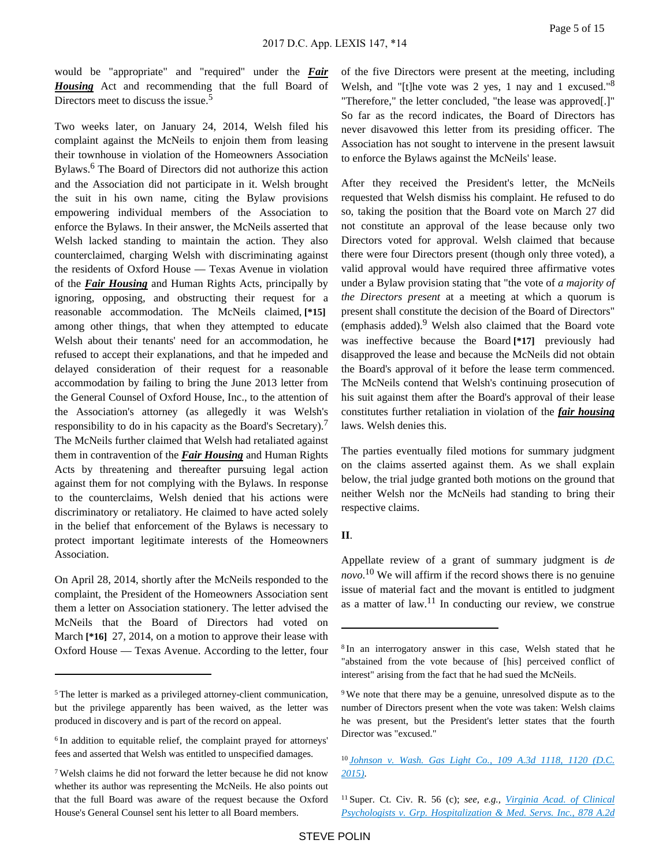would be "appropriate" and "required" under the *Fair Housing* Act and recommending that the full Board of Directors meet to discuss the issue.<sup>5</sup>

Two weeks later, on January 24, 2014, Welsh filed his complaint against the McNeils to enjoin them from leasing their townhouse in violation of the Homeowners Association Bylaws.<sup>6</sup> The Board of Directors did not authorize this action and the Association did not participate in it. Welsh brought the suit in his own name, citing the Bylaw provisions empowering individual members of the Association to enforce the Bylaws. In their answer, the McNeils asserted that Welsh lacked standing to maintain the action. They also counterclaimed, charging Welsh with discriminating against the residents of Oxford House — Texas Avenue in violation of the *Fair Housing* and Human Rights Acts, principally by ignoring, opposing, and obstructing their request for a reasonable accommodation. The McNeils claimed, **[\*15]**  among other things, that when they attempted to educate Welsh about their tenants' need for an accommodation, he refused to accept their explanations, and that he impeded and delayed consideration of their request for a reasonable accommodation by failing to bring the June 2013 letter from the General Counsel of Oxford House, Inc., to the attention of the Association's attorney (as allegedly it was Welsh's responsibility to do in his capacity as the Board's Secretary).<sup>7</sup> The McNeils further claimed that Welsh had retaliated against them in contravention of the *Fair Housing* and Human Rights Acts by threatening and thereafter pursuing legal action against them for not complying with the Bylaws. In response to the counterclaims, Welsh denied that his actions were discriminatory or retaliatory. He claimed to have acted solely in the belief that enforcement of the Bylaws is necessary to protect important legitimate interests of the Homeowners Association.

On April 28, 2014, shortly after the McNeils responded to the complaint, the President of the Homeowners Association sent them a letter on Association stationery. The letter advised the McNeils that the Board of Directors had voted on March **[\*16]** 27, 2014, on a motion to approve their lease with Oxford House — Texas Avenue. According to the letter, four of the five Directors were present at the meeting, including Welsh, and "[t]he vote was 2 yes, 1 nay and 1 excused."<sup>8</sup> "Therefore," the letter concluded, "the lease was approved[.]" So far as the record indicates, the Board of Directors has never disavowed this letter from its presiding officer. The Association has not sought to intervene in the present lawsuit to enforce the Bylaws against the McNeils' lease.

After they received the President's letter, the McNeils requested that Welsh dismiss his complaint. He refused to do so, taking the position that the Board vote on March 27 did not constitute an approval of the lease because only two Directors voted for approval. Welsh claimed that because there were four Directors present (though only three voted), a valid approval would have required three affirmative votes under a Bylaw provision stating that "the vote of *a majority of the Directors present* at a meeting at which a quorum is present shall constitute the decision of the Board of Directors" (emphasis added).<sup>9</sup> Welsh also claimed that the Board vote was ineffective because the Board **[\*17]** previously had disapproved the lease and because the McNeils did not obtain the Board's approval of it before the lease term commenced. The McNeils contend that Welsh's continuing prosecution of his suit against them after the Board's approval of their lease constitutes further retaliation in violation of the *fair housing* laws. Welsh denies this.

The parties eventually filed motions for summary judgment on the claims asserted against them. As we shall explain below, the trial judge granted both motions on the ground that neither Welsh nor the McNeils had standing to bring their respective claims.

## **II**.

Appellate review of a grant of summary judgment is *de novo*. <sup>10</sup> We will affirm if the record shows there is no genuine issue of material fact and the movant is entitled to judgment as a matter of law.<sup>11</sup> In conducting our review, we construe

<sup>5</sup>The letter is marked as a privileged attorney-client communication, but the privilege apparently has been waived, as the letter was produced in discovery and is part of the record on appeal.

<sup>&</sup>lt;sup>6</sup> In addition to equitable relief, the complaint prayed for attorneys' fees and asserted that Welsh was entitled to unspecified damages.

<sup>7</sup>Welsh claims he did not forward the letter because he did not know whether its author was representing the McNeils. He also points out that the full Board was aware of the request because the Oxford House's General Counsel sent his letter to all Board members.

<sup>8</sup>In an interrogatory answer in this case, Welsh stated that he "abstained from the vote because of [his] perceived conflict of interest" arising from the fact that he had sued the McNeils.

<sup>9</sup>We note that there may be a genuine, unresolved dispute as to the number of Directors present when the vote was taken: Welsh claims he was present, but the President's letter states that the fourth Director was "excused."

<sup>10</sup>*[Johnson v. Wash. Gas Light Co., 109 A.3d 1118, 1120 \(D.C.](https://advance.lexis.com/api/document?collection=cases&id=urn:contentItem:5F8W-G901-F04C-F004-00000-00&context=)  [2015\)](https://advance.lexis.com/api/document?collection=cases&id=urn:contentItem:5F8W-G901-F04C-F004-00000-00&context=)*.

<sup>11</sup>Super. Ct. Civ. R. 56 (c); *see, e.g., [Virginia Acad. of Clinical](https://advance.lexis.com/api/document?collection=cases&id=urn:contentItem:4GMH-X4Y0-0039-42FN-00000-00&context=)  [Psychologists v. Grp. Hospitalization & Med. Servs. Inc., 878 A.2d](https://advance.lexis.com/api/document?collection=cases&id=urn:contentItem:4GMH-X4Y0-0039-42FN-00000-00&context=)*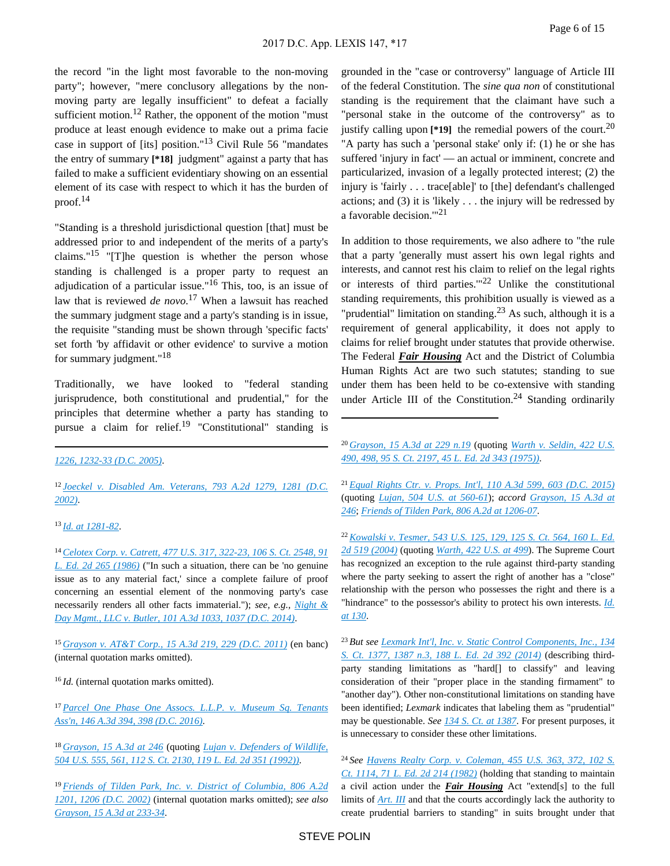the record "in the light most favorable to the non-moving party"; however, "mere conclusory allegations by the nonmoving party are legally insufficient" to defeat a facially sufficient motion.<sup>12</sup> Rather, the opponent of the motion "must" produce at least enough evidence to make out a prima facie case in support of [its] position."13 Civil Rule 56 "mandates the entry of summary **[\*18]** judgment" against a party that has failed to make a sufficient evidentiary showing on an essential element of its case with respect to which it has the burden of proof. $14$ 

"Standing is a threshold jurisdictional question [that] must be addressed prior to and independent of the merits of a party's claims." $15$  "[T]he question is whether the person whose standing is challenged is a proper party to request an adjudication of a particular issue."<sup>16</sup> This, too, is an issue of law that is reviewed *de novo*. <sup>17</sup> When a lawsuit has reached the summary judgment stage and a party's standing is in issue, the requisite "standing must be shown through 'specific facts' set forth 'by affidavit or other evidence' to survive a motion for summary judgment."<sup>18</sup>

Traditionally, we have looked to "federal standing jurisprudence, both constitutional and prudential," for the principles that determine whether a party has standing to pursue a claim for relief.<sup>19</sup> "Constitutional" standing is

<sup>12</sup>*[Joeckel v. Disabled Am. Veterans, 793 A.2d 1279, 1281 \(D.C.](https://advance.lexis.com/api/document?collection=cases&id=urn:contentItem:45D9-7630-0039-4555-00000-00&context=)  [2002\)](https://advance.lexis.com/api/document?collection=cases&id=urn:contentItem:45D9-7630-0039-4555-00000-00&context=)*.

<sup>13</sup>*[Id. at 1281-82](https://advance.lexis.com/api/document?collection=cases&id=urn:contentItem:45D9-7630-0039-4555-00000-00&context=)*.

<sup>14</sup>*[Celotex Corp. v. Catrett, 477 U.S. 317, 322-23, 106 S. Ct. 2548, 91](https://advance.lexis.com/api/document?collection=cases&id=urn:contentItem:3S4X-6HC0-0039-N37R-00000-00&context=)  [L. Ed. 2d 265 \(1986\)](https://advance.lexis.com/api/document?collection=cases&id=urn:contentItem:3S4X-6HC0-0039-N37R-00000-00&context=)* ("In such a situation, there can be 'no genuine issue as to any material fact,' since a complete failure of proof concerning an essential element of the nonmoving party's case necessarily renders all other facts immaterial."); *see, e.g., [Night &](https://advance.lexis.com/api/document?collection=cases&id=urn:contentItem:5DF0-PJ71-F04C-F05R-00000-00&context=)  [Day Mgmt., LLC v. Butler, 101 A.3d 1033, 1037 \(D.C. 2014\)](https://advance.lexis.com/api/document?collection=cases&id=urn:contentItem:5DF0-PJ71-F04C-F05R-00000-00&context=)*.

<sup>15</sup>*[Grayson v. AT&T Corp., 15 A.3d 219, 229 \(D.C. 2011\)](https://advance.lexis.com/api/document?collection=cases&id=urn:contentItem:520D-STK1-652G-W00D-00000-00&context=)* (en banc) (internal quotation marks omitted).

<sup>16</sup>*Id.* (internal quotation marks omitted).

<sup>17</sup>*[Parcel One Phase One Assocs. L.L.P. v. Museum Sq. Tenants](https://advance.lexis.com/api/document?collection=cases&id=urn:contentItem:5KS8-B7J1-F04C-F098-00000-00&context=)  [Ass'n, 146 A.3d 394, 398 \(D.C. 2016\)](https://advance.lexis.com/api/document?collection=cases&id=urn:contentItem:5KS8-B7J1-F04C-F098-00000-00&context=)*.

<sup>18</sup>*[Grayson, 15 A.3d at 246](https://advance.lexis.com/api/document?collection=cases&id=urn:contentItem:520D-STK1-652G-W00D-00000-00&context=)* (quoting *[Lujan v. Defenders of Wildlife,](https://advance.lexis.com/api/document?collection=cases&id=urn:contentItem:3S4W-XF70-003B-R3RX-00000-00&context=)  [504 U.S. 555, 561, 112 S. Ct. 2130, 119 L. Ed. 2d 351 \(1992\)\)](https://advance.lexis.com/api/document?collection=cases&id=urn:contentItem:3S4W-XF70-003B-R3RX-00000-00&context=)*.

<sup>19</sup>*[Friends of Tilden Park, Inc. v. District of Columbia, 806 A.2d](https://advance.lexis.com/api/document?collection=cases&id=urn:contentItem:46T9-XMW0-0039-41XY-00000-00&context=)  [1201, 1206 \(D.C. 2002\)](https://advance.lexis.com/api/document?collection=cases&id=urn:contentItem:46T9-XMW0-0039-41XY-00000-00&context=)* (internal quotation marks omitted); *see also [Grayson, 15 A.3d at 233-34](https://advance.lexis.com/api/document?collection=cases&id=urn:contentItem:520D-STK1-652G-W00D-00000-00&context=)*.

grounded in the "case or controversy" language of Article III of the federal Constitution. The *sine qua non* of constitutional standing is the requirement that the claimant have such a "personal stake in the outcome of the controversy" as to justify calling upon  $[419]$  the remedial powers of the court.<sup>20</sup> "A party has such a 'personal stake' only if: (1) he or she has suffered 'injury in fact' — an actual or imminent, concrete and particularized, invasion of a legally protected interest; (2) the injury is 'fairly . . . trace[able]' to [the] defendant's challenged actions; and  $(3)$  it is 'likely . . . the injury will be redressed by a favorable decision."<sup>21</sup>

In addition to those requirements, we also adhere to "the rule that a party 'generally must assert his own legal rights and interests, and cannot rest his claim to relief on the legal rights or interests of third parties. $122$  Unlike the constitutional standing requirements, this prohibition usually is viewed as a "prudential" limitation on standing. $^{23}$  As such, although it is a requirement of general applicability, it does not apply to claims for relief brought under statutes that provide otherwise. The Federal *Fair Housing* Act and the District of Columbia Human Rights Act are two such statutes; standing to sue under them has been held to be co-extensive with standing under Article III of the Constitution.<sup>24</sup> Standing ordinarily

<sup>21</sup>*[Equal Rights Ctr. v. Props. Int'l, 110 A.3d 599, 603 \(D.C. 2015\)](https://advance.lexis.com/api/document?collection=cases&id=urn:contentItem:5FCW-2VT1-F04C-F00H-00000-00&context=)* (quoting *[Lujan, 504 U.S. at 560-61](https://advance.lexis.com/api/document?collection=cases&id=urn:contentItem:3S4W-XF70-003B-R3RX-00000-00&context=)*); *accord [Grayson, 15 A.3d at](https://advance.lexis.com/api/document?collection=cases&id=urn:contentItem:520D-STK1-652G-W00D-00000-00&context=)  [246](https://advance.lexis.com/api/document?collection=cases&id=urn:contentItem:520D-STK1-652G-W00D-00000-00&context=)*; *[Friends of Tilden Park, 806 A.2d at 1206-07](https://advance.lexis.com/api/document?collection=cases&id=urn:contentItem:46T9-XMW0-0039-41XY-00000-00&context=)*.

<sup>22</sup>*[Kowalski v. Tesmer, 543 U.S. 125, 129, 125 S. Ct. 564, 160 L. Ed.](https://advance.lexis.com/api/document?collection=cases&id=urn:contentItem:4F13-37V0-004C-000K-00000-00&context=)  [2d 519 \(2004\)](https://advance.lexis.com/api/document?collection=cases&id=urn:contentItem:4F13-37V0-004C-000K-00000-00&context=)* (quoting *[Warth, 422 U.S. at 499](https://advance.lexis.com/api/document?collection=cases&id=urn:contentItem:3S4X-BGK0-003B-S1WN-00000-00&context=)*). The Supreme Court has recognized an exception to the rule against third-party standing where the party seeking to assert the right of another has a "close" relationship with the person who possesses the right and there is a "hindrance" to the possessor's ability to protect his own interests. *[Id.](https://advance.lexis.com/api/document?collection=cases&id=urn:contentItem:4F13-37V0-004C-000K-00000-00&context=)  [at 130](https://advance.lexis.com/api/document?collection=cases&id=urn:contentItem:4F13-37V0-004C-000K-00000-00&context=)*.

<sup>23</sup>*But see [Lexmark Int'l, Inc. v. Static Control Components, Inc., 134](https://advance.lexis.com/api/document?collection=cases&id=urn:contentItem:5BTS-W1F1-F04K-F003-00000-00&context=)  [S. Ct. 1377, 1387 n.3, 188 L. Ed. 2d 392 \(2014\)](https://advance.lexis.com/api/document?collection=cases&id=urn:contentItem:5BTS-W1F1-F04K-F003-00000-00&context=)* (describing thirdparty standing limitations as "hard[] to classify" and leaving consideration of their "proper place in the standing firmament" to "another day"). Other non-constitutional limitations on standing have been identified; *Lexmark* indicates that labeling them as "prudential" may be questionable. *See [134 S. Ct. at 1387](https://advance.lexis.com/api/document?collection=cases&id=urn:contentItem:5BTS-W1F1-F04K-F003-00000-00&context=)*. For present purposes, it is unnecessary to consider these other limitations.

<sup>24</sup>*See [Havens Realty Corp. v. Coleman, 455 U.S. 363, 372, 102 S.](https://advance.lexis.com/api/document?collection=cases&id=urn:contentItem:3S4X-5RB0-003B-S1M3-00000-00&context=)  [Ct. 1114, 71 L. Ed. 2d 214 \(1982\)](https://advance.lexis.com/api/document?collection=cases&id=urn:contentItem:3S4X-5RB0-003B-S1M3-00000-00&context=)* (holding that standing to maintain a civil action under the *Fair Housing* Act "extend[s] to the full limits of *[Art. III](https://advance.lexis.com/api/document?collection=statutes-legislation&id=urn:contentItem:4YF7-GNS1-NRF4-41TJ-00000-00&context=)* and that the courts accordingly lack the authority to create prudential barriers to standing" in suits brought under that

*[<sup>1226, 1232-33 \(</sup>D.C. 2005\)](https://advance.lexis.com/api/document?collection=cases&id=urn:contentItem:4GMH-X4Y0-0039-42FN-00000-00&context=)*.

<sup>20</sup>*[Grayson, 15 A.3d at 229 n.19](https://advance.lexis.com/api/document?collection=cases&id=urn:contentItem:520D-STK1-652G-W00D-00000-00&context=)* (quoting *[Warth v. Seldin, 422 U.S.](https://advance.lexis.com/api/document?collection=cases&id=urn:contentItem:3S4X-BGK0-003B-S1WN-00000-00&context=)  [490, 498, 95 S. Ct. 2197, 45 L. Ed. 2d 343 \(1975\)\)](https://advance.lexis.com/api/document?collection=cases&id=urn:contentItem:3S4X-BGK0-003B-S1WN-00000-00&context=)*.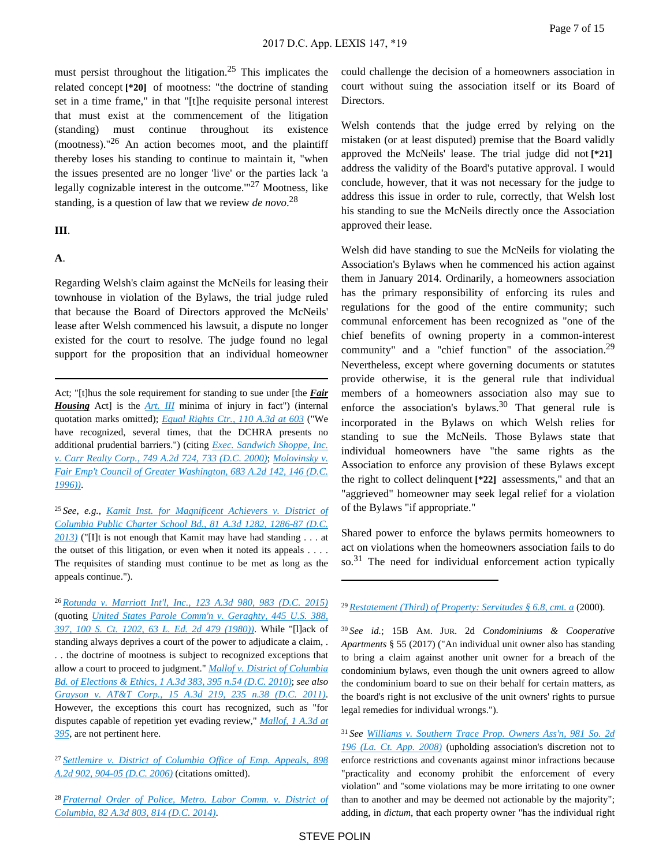must persist throughout the litigation.<sup>25</sup> This implicates the related concept **[\*20]** of mootness: "the doctrine of standing set in a time frame," in that "[t]he requisite personal interest that must exist at the commencement of the litigation (standing) must continue throughout its existence (mootness)." $^{26}$  An action becomes moot, and the plaintiff thereby loses his standing to continue to maintain it, "when the issues presented are no longer 'live' or the parties lack 'a legally cognizable interest in the outcome. $127$  Mootness, like standing, is a question of law that we review *de novo*. 28

#### **III**.

## **A**.

Regarding Welsh's claim against the McNeils for leasing their townhouse in violation of the Bylaws, the trial judge ruled that because the Board of Directors approved the McNeils' lease after Welsh commenced his lawsuit, a dispute no longer existed for the court to resolve. The judge found no legal support for the proposition that an individual homeowner

Act; "[t]hus the sole requirement for standing to sue under [the *Fair Housing* Act] is the *[Art. III](https://advance.lexis.com/api/document?collection=statutes-legislation&id=urn:contentItem:4YF7-GNS1-NRF4-41TJ-00000-00&context=)* minima of injury in fact") (internal quotation marks omitted); *[Equal Rights Ctr., 110 A.3d at 603](https://advance.lexis.com/api/document?collection=cases&id=urn:contentItem:5FCW-2VT1-F04C-F00H-00000-00&context=)* ("We have recognized, several times, that the DCHRA presents no additional prudential barriers.") (citing *[Exec. Sandwich Shoppe, Inc.](https://advance.lexis.com/api/document?collection=cases&id=urn:contentItem:401J-VD60-0039-4366-00000-00&context=)  [v. Carr Realty Corp., 749 A.2d 724, 733 \(D.C. 2000\)](https://advance.lexis.com/api/document?collection=cases&id=urn:contentItem:401J-VD60-0039-4366-00000-00&context=)*; *[Molovinsky v.](https://advance.lexis.com/api/document?collection=cases&id=urn:contentItem:3RRT-8HP0-003G-109K-00000-00&context=)  [Fair Emp't Council of Greater Washington, 683 A.2d 142, 146 \(D.C.](https://advance.lexis.com/api/document?collection=cases&id=urn:contentItem:3RRT-8HP0-003G-109K-00000-00&context=)  [1996\)\)](https://advance.lexis.com/api/document?collection=cases&id=urn:contentItem:3RRT-8HP0-003G-109K-00000-00&context=)*.

<sup>25</sup>*See, e.g., [Kamit Inst. for Magnificent Achievers v. District of](https://advance.lexis.com/api/document?collection=cases&id=urn:contentItem:5B4V-MCS1-F04C-F0FB-00000-00&context=)  [Columbia Public Charter School Bd., 81 A.3d 1282, 1286-87 \(D.C.](https://advance.lexis.com/api/document?collection=cases&id=urn:contentItem:5B4V-MCS1-F04C-F0FB-00000-00&context=)  [2013\)](https://advance.lexis.com/api/document?collection=cases&id=urn:contentItem:5B4V-MCS1-F04C-F0FB-00000-00&context=)* ("[I]t is not enough that Kamit may have had standing . . . at the outset of this litigation, or even when it noted its appeals  $\dots$ . The requisites of standing must continue to be met as long as the appeals continue.").

<sup>26</sup>*[Rotunda v. Marriott Int'l, Inc., 123 A.3d 980, 983 \(D.C. 2015\)](https://advance.lexis.com/api/document?collection=cases&id=urn:contentItem:5GV5-BX11-F04C-F002-00000-00&context=)* (quoting *[United States Parole Comm'n v. Geraghty, 445 U.S. 388,](https://advance.lexis.com/api/document?collection=cases&id=urn:contentItem:3S4X-7HJ0-003B-S2N5-00000-00&context=)  [397, 100 S. Ct. 1202, 63 L. Ed. 2d 479 \(1980\)\)](https://advance.lexis.com/api/document?collection=cases&id=urn:contentItem:3S4X-7HJ0-003B-S2N5-00000-00&context=)*. While "[l]ack of standing always deprives a court of the power to adjudicate a claim, . . . the doctrine of mootness is subject to recognized exceptions that allow a court to proceed to judgment." *[Mallof v. District of Columbia](https://advance.lexis.com/api/document?collection=cases&id=urn:contentItem:803M-3N00-YB0M-9004-00000-00&context=)  [Bd. of Elections & Ethics, 1 A.3d 383, 395 n.54 \(D.C. 2010\)](https://advance.lexis.com/api/document?collection=cases&id=urn:contentItem:803M-3N00-YB0M-9004-00000-00&context=)*; *see also [Grayson v. AT&T Corp., 15 A.3d 219, 235 n.38 \(D.C. 2011\)](https://advance.lexis.com/api/document?collection=cases&id=urn:contentItem:520D-STK1-652G-W00D-00000-00&context=)*. However, the exceptions this court has recognized, such as "for disputes capable of repetition yet evading review," *[Mallof, 1 A.3d at](https://advance.lexis.com/api/document?collection=cases&id=urn:contentItem:803M-3N00-YB0M-9004-00000-00&context=)  [395](https://advance.lexis.com/api/document?collection=cases&id=urn:contentItem:803M-3N00-YB0M-9004-00000-00&context=)*, are not pertinent here.

<sup>27</sup>*[Settlemire v. District of Columbia Office of Emp. Appeals, 898](https://advance.lexis.com/api/document?collection=cases&id=urn:contentItem:4JXR-4640-0039-40YR-00000-00&context=)  [A.2d 902, 904-05 \(D.C. 2006\)](https://advance.lexis.com/api/document?collection=cases&id=urn:contentItem:4JXR-4640-0039-40YR-00000-00&context=)* (citations omitted).

<sup>28</sup>*[Fraternal Order of Police, Metro. Labor Comm. v. District of](https://advance.lexis.com/api/document?collection=cases&id=urn:contentItem:5B6B-7071-F04C-F0HH-00000-00&context=)  [Columbia, 82 A.3d 803, 814 \(D.C. 2014\)](https://advance.lexis.com/api/document?collection=cases&id=urn:contentItem:5B6B-7071-F04C-F0HH-00000-00&context=)*.

could challenge the decision of a homeowners association in court without suing the association itself or its Board of Directors.

Welsh contends that the judge erred by relying on the mistaken (or at least disputed) premise that the Board validly approved the McNeils' lease. The trial judge did not **[\*21]**  address the validity of the Board's putative approval. I would conclude, however, that it was not necessary for the judge to address this issue in order to rule, correctly, that Welsh lost his standing to sue the McNeils directly once the Association approved their lease.

Welsh did have standing to sue the McNeils for violating the Association's Bylaws when he commenced his action against them in January 2014. Ordinarily, a homeowners association has the primary responsibility of enforcing its rules and regulations for the good of the entire community; such communal enforcement has been recognized as "one of the chief benefits of owning property in a common-interest community" and a "chief function" of the association.<sup>29</sup> Nevertheless, except where governing documents or statutes provide otherwise, it is the general rule that individual members of a homeowners association also may sue to enforce the association's bylaws.<sup>30</sup> That general rule is incorporated in the Bylaws on which Welsh relies for standing to sue the McNeils. Those Bylaws state that individual homeowners have "the same rights as the Association to enforce any provision of these Bylaws except the right to collect delinquent **[\*22]** assessments," and that an "aggrieved" homeowner may seek legal relief for a violation of the Bylaws "if appropriate."

Shared power to enforce the bylaws permits homeowners to act on violations when the homeowners association fails to do so.<sup>31</sup> The need for individual enforcement action typically

<sup>29</sup>*[Restatement \(Third\) of Property: Servitudes § 6.8, cmt. a](https://advance.lexis.com/api/document?collection=analytical-materials&id=urn:contentItem:42HW-55S0-00YF-X01N-00000-00&context=)* (2000).

<sup>30</sup>*See id.*; 15B AM. JUR. 2d *Condominiums & Cooperative Apartments* § 55 (2017) ("An individual unit owner also has standing to bring a claim against another unit owner for a breach of the condominium bylaws, even though the unit owners agreed to allow the condominium board to sue on their behalf for certain matters, as the board's right is not exclusive of the unit owners' rights to pursue legal remedies for individual wrongs.").

<sup>31</sup>*See [Williams v. Southern Trace Prop. Owners Ass'n, 981 So. 2d](https://advance.lexis.com/api/document?collection=cases&id=urn:contentItem:4SC0-1050-TX4N-G0RH-00000-00&context=)  [196 \(La. Ct. App. 2008\)](https://advance.lexis.com/api/document?collection=cases&id=urn:contentItem:4SC0-1050-TX4N-G0RH-00000-00&context=)* (upholding association's discretion not to enforce restrictions and covenants against minor infractions because "practicality and economy prohibit the enforcement of every violation" and "some violations may be more irritating to one owner than to another and may be deemed not actionable by the majority"; adding, in *dictum*, that each property owner "has the individual right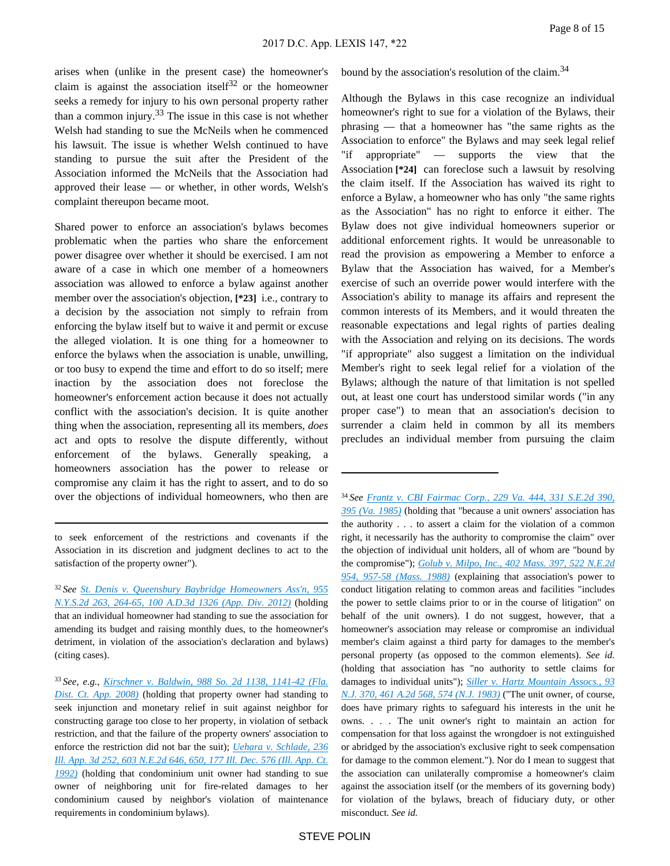arises when (unlike in the present case) the homeowner's claim is against the association itself<sup>32</sup> or the homeowner seeks a remedy for injury to his own personal property rather than a common injury.33 The issue in this case is not whether Welsh had standing to sue the McNeils when he commenced his lawsuit. The issue is whether Welsh continued to have standing to pursue the suit after the President of the Association informed the McNeils that the Association had approved their lease — or whether, in other words, Welsh's complaint thereupon became moot.

Shared power to enforce an association's bylaws becomes problematic when the parties who share the enforcement power disagree over whether it should be exercised. I am not aware of a case in which one member of a homeowners association was allowed to enforce a bylaw against another member over the association's objection, **[\*23]** i.e., contrary to a decision by the association not simply to refrain from enforcing the bylaw itself but to waive it and permit or excuse the alleged violation. It is one thing for a homeowner to enforce the bylaws when the association is unable, unwilling, or too busy to expend the time and effort to do so itself; mere inaction by the association does not foreclose the homeowner's enforcement action because it does not actually conflict with the association's decision. It is quite another thing when the association, representing all its members, *does* act and opts to resolve the dispute differently, without enforcement of the bylaws. Generally speaking, a homeowners association has the power to release or compromise any claim it has the right to assert, and to do so over the objections of individual homeowners, who then are

to seek enforcement of the restrictions and covenants if the Association in its discretion and judgment declines to act to the satisfaction of the property owner").

<sup>32</sup>*See [St. Denis v. Queensbury Baybridge Homeowners Ass'n, 955](https://advance.lexis.com/api/document?collection=cases&id=urn:contentItem:5757-C2M1-F04J-7324-00000-00&context=)  [N.Y.S.2d 263, 264-65, 100 A.D.3d 1326 \(App. Div. 2012\)](https://advance.lexis.com/api/document?collection=cases&id=urn:contentItem:5757-C2M1-F04J-7324-00000-00&context=)* (holding that an individual homeowner had standing to sue the association for amending its budget and raising monthly dues, to the homeowner's detriment, in violation of the association's declaration and bylaws) (citing cases).

<sup>33</sup>*See, e.g., [Kirschner v. Baldwin, 988 So. 2d 1138, 1141-42 \(Fla.](https://advance.lexis.com/api/document?collection=cases&id=urn:contentItem:4T47-6TF0-TX4N-G0H0-00000-00&context=)  [Dist. Ct. App. 2008\)](https://advance.lexis.com/api/document?collection=cases&id=urn:contentItem:4T47-6TF0-TX4N-G0H0-00000-00&context=)* (holding that property owner had standing to seek injunction and monetary relief in suit against neighbor for constructing garage too close to her property, in violation of setback restriction, and that the failure of the property owners' association to enforce the restriction did not bar the suit); *[Uehara v. Schlade, 236](https://advance.lexis.com/api/document?collection=cases&id=urn:contentItem:3RX4-3FH0-003D-H0SN-00000-00&context=)  [Ill. App. 3d 252, 603 N.E.2d 646, 650, 177 Ill. Dec. 576 \(Ill. App. Ct.](https://advance.lexis.com/api/document?collection=cases&id=urn:contentItem:3RX4-3FH0-003D-H0SN-00000-00&context=)  [1992\)](https://advance.lexis.com/api/document?collection=cases&id=urn:contentItem:3RX4-3FH0-003D-H0SN-00000-00&context=)* (holding that condominium unit owner had standing to sue owner of neighboring unit for fire-related damages to her condominium caused by neighbor's violation of maintenance requirements in condominium bylaws).

bound by the association's resolution of the claim.<sup>34</sup>

Although the Bylaws in this case recognize an individual homeowner's right to sue for a violation of the Bylaws, their phrasing — that a homeowner has "the same rights as the Association to enforce" the Bylaws and may seek legal relief "if appropriate" — supports the view that the Association **[\*24]** can foreclose such a lawsuit by resolving the claim itself. If the Association has waived its right to enforce a Bylaw, a homeowner who has only "the same rights as the Association" has no right to enforce it either. The Bylaw does not give individual homeowners superior or additional enforcement rights. It would be unreasonable to read the provision as empowering a Member to enforce a Bylaw that the Association has waived, for a Member's exercise of such an override power would interfere with the Association's ability to manage its affairs and represent the common interests of its Members, and it would threaten the reasonable expectations and legal rights of parties dealing with the Association and relying on its decisions. The words "if appropriate" also suggest a limitation on the individual Member's right to seek legal relief for a violation of the Bylaws; although the nature of that limitation is not spelled out, at least one court has understood similar words ("in any proper case") to mean that an association's decision to surrender a claim held in common by all its members precludes an individual member from pursuing the claim

<sup>34</sup>*See [Frantz v. CBI Fairmac Corp., 229 Va. 444, 331 S.E.2d 390,](https://advance.lexis.com/api/document?collection=cases&id=urn:contentItem:3S3J-VW00-003D-522R-00000-00&context=)  [395 \(Va. 1985\)](https://advance.lexis.com/api/document?collection=cases&id=urn:contentItem:3S3J-VW00-003D-522R-00000-00&context=)* (holding that "because a unit owners' association has the authority . . . to assert a claim for the violation of a common right, it necessarily has the authority to compromise the claim" over the objection of individual unit holders, all of whom are "bound by the compromise"); *[Golub v. Milpo, Inc., 402 Mass. 397, 522 N.E.2d](https://advance.lexis.com/api/document?collection=cases&id=urn:contentItem:3RX4-4F20-003C-V12X-00000-00&context=)  [954, 957-58 \(Mass. 1988\)](https://advance.lexis.com/api/document?collection=cases&id=urn:contentItem:3RX4-4F20-003C-V12X-00000-00&context=)* (explaining that association's power to conduct litigation relating to common areas and facilities "includes the power to settle claims prior to or in the course of litigation" on behalf of the unit owners). I do not suggest, however, that a homeowner's association may release or compromise an individual member's claim against a third party for damages to the member's personal property (as opposed to the common elements). *See id.* (holding that association has "no authority to settle claims for damages to individual units"); *[Siller v. Hartz Mountain Assocs., 93](https://advance.lexis.com/api/document?collection=cases&id=urn:contentItem:3S3J-W1N0-003C-P3WP-00000-00&context=)  [N.J. 370, 461 A.2d 568, 574 \(N.J. 1983\)](https://advance.lexis.com/api/document?collection=cases&id=urn:contentItem:3S3J-W1N0-003C-P3WP-00000-00&context=)* ("The unit owner, of course, does have primary rights to safeguard his interests in the unit he owns. . . . The unit owner's right to maintain an action for compensation for that loss against the wrongdoer is not extinguished or abridged by the association's exclusive right to seek compensation for damage to the common element."). Nor do I mean to suggest that the association can unilaterally compromise a homeowner's claim against the association itself (or the members of its governing body) for violation of the bylaws, breach of fiduciary duty, or other misconduct. *See id.*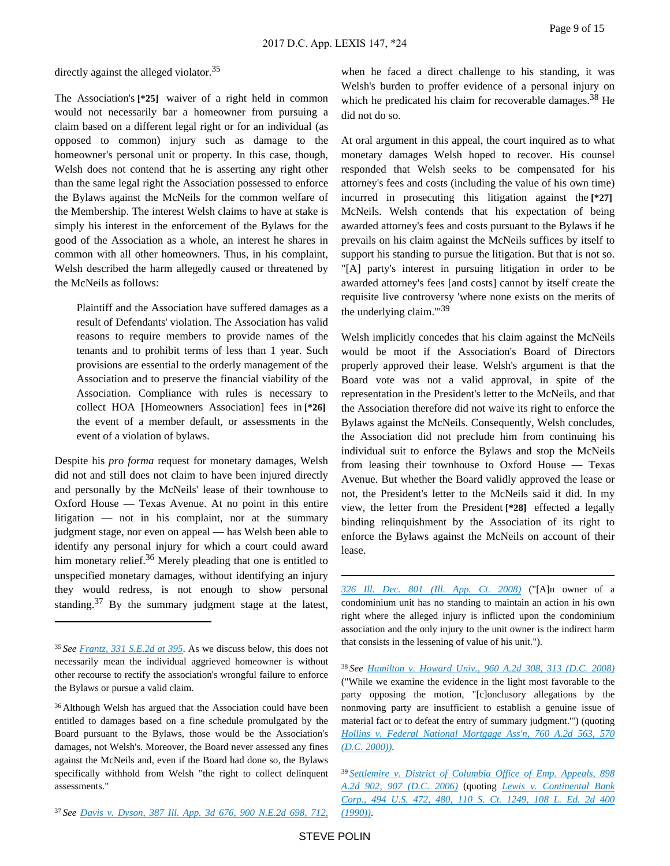directly against the alleged violator.<sup>35</sup>

The Association's **[\*25]** waiver of a right held in common would not necessarily bar a homeowner from pursuing a claim based on a different legal right or for an individual (as opposed to common) injury such as damage to the homeowner's personal unit or property. In this case, though, Welsh does not contend that he is asserting any right other than the same legal right the Association possessed to enforce the Bylaws against the McNeils for the common welfare of the Membership. The interest Welsh claims to have at stake is simply his interest in the enforcement of the Bylaws for the good of the Association as a whole, an interest he shares in common with all other homeowners. Thus, in his complaint, Welsh described the harm allegedly caused or threatened by the McNeils as follows:

Plaintiff and the Association have suffered damages as a result of Defendants' violation. The Association has valid reasons to require members to provide names of the tenants and to prohibit terms of less than 1 year. Such provisions are essential to the orderly management of the Association and to preserve the financial viability of the Association. Compliance with rules is necessary to collect HOA [Homeowners Association] fees in **[\*26]**  the event of a member default, or assessments in the event of a violation of bylaws.

Despite his *pro forma* request for monetary damages, Welsh did not and still does not claim to have been injured directly and personally by the McNeils' lease of their townhouse to Oxford House — Texas Avenue. At no point in this entire litigation — not in his complaint, nor at the summary judgment stage, nor even on appeal — has Welsh been able to identify any personal injury for which a court could award him monetary relief.<sup>36</sup> Merely pleading that one is entitled to unspecified monetary damages, without identifying an injury they would redress, is not enough to show personal standing.<sup>37</sup> By the summary judgment stage at the latest,

when he faced a direct challenge to his standing, it was Welsh's burden to proffer evidence of a personal injury on which he predicated his claim for recoverable damages.<sup>38</sup> He did not do so.

At oral argument in this appeal, the court inquired as to what monetary damages Welsh hoped to recover. His counsel responded that Welsh seeks to be compensated for his attorney's fees and costs (including the value of his own time) incurred in prosecuting this litigation against the **[\*27]**  McNeils. Welsh contends that his expectation of being awarded attorney's fees and costs pursuant to the Bylaws if he prevails on his claim against the McNeils suffices by itself to support his standing to pursue the litigation. But that is not so. "[A] party's interest in pursuing litigation in order to be awarded attorney's fees [and costs] cannot by itself create the requisite live controversy 'where none exists on the merits of the underlying claim.'"<sup>39</sup>

Welsh implicitly concedes that his claim against the McNeils would be moot if the Association's Board of Directors properly approved their lease. Welsh's argument is that the Board vote was not a valid approval, in spite of the representation in the President's letter to the McNeils, and that the Association therefore did not waive its right to enforce the Bylaws against the McNeils. Consequently, Welsh concludes, the Association did not preclude him from continuing his individual suit to enforce the Bylaws and stop the McNeils from leasing their townhouse to Oxford House — Texas Avenue. But whether the Board validly approved the lease or not, the President's letter to the McNeils said it did. In my view, the letter from the President **[\*28]** effected a legally binding relinquishment by the Association of its right to enforce the Bylaws against the McNeils on account of their lease.

*[326 Ill. Dec. 801 \(Ill. App. Ct. 2008\)](https://advance.lexis.com/api/document?collection=cases&id=urn:contentItem:4V6K-2KV0-TXFS-N322-00000-00&context=)* ("[A]n owner of a condominium unit has no standing to maintain an action in his own right where the alleged injury is inflicted upon the condominium association and the only injury to the unit owner is the indirect harm that consists in the lessening of value of his unit.").

<sup>38</sup>*See [Hamilton v. Howard Univ., 960 A.2d 308, 313 \(D.C. 2008\)](https://advance.lexis.com/api/document?collection=cases&id=urn:contentItem:4TX7-PT20-TXFP-12RB-00000-00&context=)* ("While we examine the evidence in the light most favorable to the party opposing the motion, "[c]onclusory allegations by the nonmoving party are insufficient to establish a genuine issue of material fact or to defeat the entry of summary judgment.'") (quoting *[Hollins v. Federal National Mortgage Ass'n, 760 A.2d 563, 570](https://advance.lexis.com/api/document?collection=cases&id=urn:contentItem:41DK-GBY0-0039-42S0-00000-00&context=)  [\(D.C. 2000\)\)](https://advance.lexis.com/api/document?collection=cases&id=urn:contentItem:41DK-GBY0-0039-42S0-00000-00&context=)*.

<sup>35</sup>*See [Frantz, 331 S.E.2d at 395](https://advance.lexis.com/api/document?collection=cases&id=urn:contentItem:3S3J-VW00-003D-522R-00000-00&context=)*. As we discuss below, this does not necessarily mean the individual aggrieved homeowner is without other recourse to rectify the association's wrongful failure to enforce the Bylaws or pursue a valid claim.

<sup>36</sup>Although Welsh has argued that the Association could have been entitled to damages based on a fine schedule promulgated by the Board pursuant to the Bylaws, those would be the Association's damages, not Welsh's. Moreover, the Board never assessed any fines against the McNeils and, even if the Board had done so, the Bylaws specifically withhold from Welsh "the right to collect delinquent assessments."

<sup>37</sup>*See [Davis v. Dyson, 387 Ill. App. 3d 676, 900 N.E.2d 698, 712,](https://advance.lexis.com/api/document?collection=cases&id=urn:contentItem:4V6K-2KV0-TXFS-N322-00000-00&context=)* 

<sup>39</sup>*[Settlemire v. District of Columbia Office of Emp. Appeals, 898](https://advance.lexis.com/api/document?collection=cases&id=urn:contentItem:4JXR-4640-0039-40YR-00000-00&context=)  [A.2d 902, 907 \(D.C. 2006\)](https://advance.lexis.com/api/document?collection=cases&id=urn:contentItem:4JXR-4640-0039-40YR-00000-00&context=)* (quoting *[Lewis v. Continental Bank](https://advance.lexis.com/api/document?collection=cases&id=urn:contentItem:3S4X-7T80-003B-416X-00000-00&context=)  [Corp., 494 U.S. 472, 480, 110 S. Ct. 1249, 108 L. Ed. 2d 400](https://advance.lexis.com/api/document?collection=cases&id=urn:contentItem:3S4X-7T80-003B-416X-00000-00&context=)  [\(1990\)\)](https://advance.lexis.com/api/document?collection=cases&id=urn:contentItem:3S4X-7T80-003B-416X-00000-00&context=)*.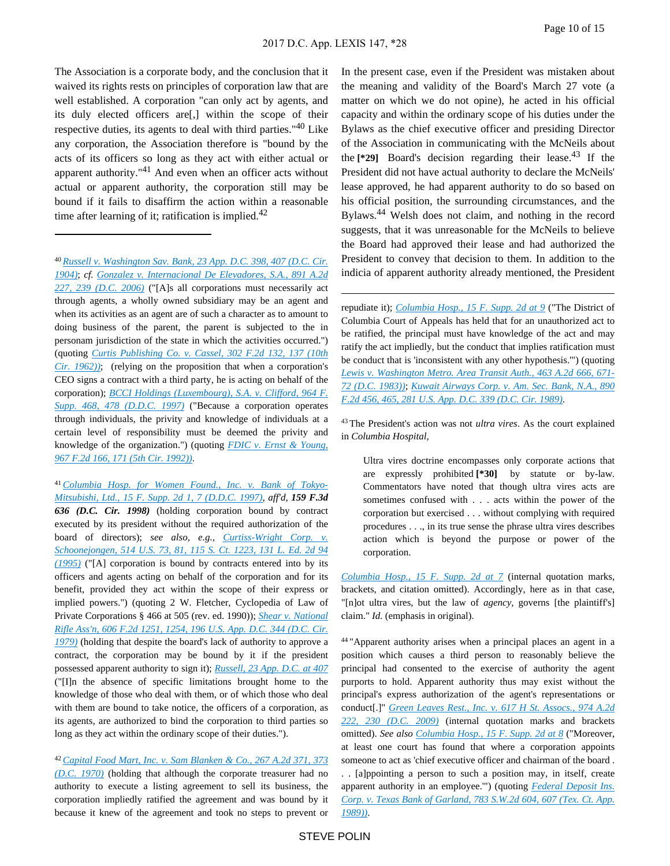The Association is a corporate body, and the conclusion that it waived its rights rests on principles of corporation law that are well established. A corporation "can only act by agents, and its duly elected officers are[,] within the scope of their respective duties, its agents to deal with third parties."40 Like any corporation, the Association therefore is "bound by the acts of its officers so long as they act with either actual or apparent authority."41 And even when an officer acts without actual or apparent authority, the corporation still may be bound if it fails to disaffirm the action within a reasonable time after learning of it; ratification is implied. $42$ 

41 *[Columbia Hosp. for Women Found., Inc. v. Bank of Tokyo-](https://advance.lexis.com/api/document?collection=cases&id=urn:contentItem:3T6H-GCF0-0038-Y1XG-00000-00&context=)[Mitsubishi, Ltd., 15 F. Supp. 2d 1, 7 \(D.D.C. 1997\)](https://advance.lexis.com/api/document?collection=cases&id=urn:contentItem:3T6H-GCF0-0038-Y1XG-00000-00&context=)*, *aff'd*, *159 F.3d 636 (D.C. Cir. 1998)* (holding corporation bound by contract executed by its president without the required authorization of the board of directors); *see also, e.g., [Curtiss-Wright Corp. v.](https://advance.lexis.com/api/document?collection=cases&id=urn:contentItem:3S42-78C0-003B-R3N7-00000-00&context=)  [Schoonejongen, 514 U.S. 73, 81, 115 S. Ct. 1223, 131 L. Ed. 2d 94](https://advance.lexis.com/api/document?collection=cases&id=urn:contentItem:3S42-78C0-003B-R3N7-00000-00&context=)  [\(1995\)](https://advance.lexis.com/api/document?collection=cases&id=urn:contentItem:3S42-78C0-003B-R3N7-00000-00&context=)* ("[A] corporation is bound by contracts entered into by its officers and agents acting on behalf of the corporation and for its benefit, provided they act within the scope of their express or implied powers.") (quoting 2 W. Fletcher, Cyclopedia of Law of Private Corporations § 466 at 505 (rev. ed. 1990)); *[Shear v. National](https://advance.lexis.com/api/document?collection=cases&id=urn:contentItem:3S4W-V7S0-0039-M4FB-00000-00&context=)  [Rifle Ass'n, 606 F.2d 1251, 1254, 196 U.S. App. D.C. 344 \(D.C. Cir.](https://advance.lexis.com/api/document?collection=cases&id=urn:contentItem:3S4W-V7S0-0039-M4FB-00000-00&context=)  [1979\)](https://advance.lexis.com/api/document?collection=cases&id=urn:contentItem:3S4W-V7S0-0039-M4FB-00000-00&context=)* (holding that despite the board's lack of authority to approve a contract, the corporation may be bound by it if the president possessed apparent authority to sign it); *[Russell, 23 App. D.C. at 407](https://advance.lexis.com/api/document?collection=cases&id=urn:contentItem:401J-KSX0-003B-K386-00000-00&context=)* ("[I]n the absence of specific limitations brought home to the knowledge of those who deal with them, or of which those who deal with them are bound to take notice, the officers of a corporation, as its agents, are authorized to bind the corporation to third parties so long as they act within the ordinary scope of their duties.").

<sup>42</sup>*[Capital Food Mart, Inc. v. Sam Blanken & Co., 267 A.2d 371, 373](https://advance.lexis.com/api/document?collection=cases&id=urn:contentItem:3RRT-B7R0-003G-13P0-00000-00&context=)  [\(D.C. 1970\)](https://advance.lexis.com/api/document?collection=cases&id=urn:contentItem:3RRT-B7R0-003G-13P0-00000-00&context=)* (holding that although the corporate treasurer had no authority to execute a listing agreement to sell its business, the corporation impliedly ratified the agreement and was bound by it because it knew of the agreement and took no steps to prevent or

In the present case, even if the President was mistaken about the meaning and validity of the Board's March 27 vote (a matter on which we do not opine), he acted in his official capacity and within the ordinary scope of his duties under the Bylaws as the chief executive officer and presiding Director of the Association in communicating with the McNeils about the  $[29]$  Board's decision regarding their lease.<sup>43</sup> If the President did not have actual authority to declare the McNeils' lease approved, he had apparent authority to do so based on his official position, the surrounding circumstances, and the Bylaws.<sup>44</sup> Welsh does not claim, and nothing in the record suggests, that it was unreasonable for the McNeils to believe the Board had approved their lease and had authorized the President to convey that decision to them. In addition to the indicia of apparent authority already mentioned, the President

repudiate it); *[Columbia Hosp., 15 F. Supp. 2d at 9](https://advance.lexis.com/api/document?collection=cases&id=urn:contentItem:3T6H-GCF0-0038-Y1XG-00000-00&context=)* ("The District of Columbia Court of Appeals has held that for an unauthorized act to be ratified, the principal must have knowledge of the act and may ratify the act impliedly, but the conduct that implies ratification must be conduct that is 'inconsistent with any other hypothesis.'") (quoting *[Lewis v. Washington Metro. Area Transit Auth., 463 A.2d 666, 671-](https://advance.lexis.com/api/document?collection=cases&id=urn:contentItem:3RRT-9K00-003G-152W-00000-00&context=) [72 \(D.C. 1983\)\)](https://advance.lexis.com/api/document?collection=cases&id=urn:contentItem:3RRT-9K00-003G-152W-00000-00&context=)*; *[Kuwait Airways Corp. v. Am. Sec. Bank, N.A., 890](https://advance.lexis.com/api/document?collection=cases&id=urn:contentItem:3S4X-8B10-003B-516Y-00000-00&context=)  [F.2d 456, 465, 281 U.S. App. D.C. 339 \(D.C. Cir. 1989\)](https://advance.lexis.com/api/document?collection=cases&id=urn:contentItem:3S4X-8B10-003B-516Y-00000-00&context=)*.

<sup>43</sup>The President's action was not *ultra vires*. As the court explained in *Columbia Hospital*,

Ultra vires doctrine encompasses only corporate actions that are expressly prohibited **[\*30]** by statute or by-law. Commentators have noted that though ultra vires acts are sometimes confused with . . . acts within the power of the corporation but exercised . . . without complying with required procedures . . ., in its true sense the phrase ultra vires describes action which is beyond the purpose or power of the corporation.

*[Columbia Hosp., 15 F. Supp. 2d at 7](https://advance.lexis.com/api/document?collection=cases&id=urn:contentItem:3T6H-GCF0-0038-Y1XG-00000-00&context=)* (internal quotation marks, brackets, and citation omitted). Accordingly, here as in that case, "[n]ot ultra vires, but the law of *agency*, governs [the plaintiff's] claim." *Id.* (emphasis in original).

<sup>44</sup>"Apparent authority arises when a principal places an agent in a position which causes a third person to reasonably believe the principal had consented to the exercise of authority the agent purports to hold. Apparent authority thus may exist without the principal's express authorization of the agent's representations or conduct[.]" *[Green Leaves Rest., Inc. v. 617 H St. Assocs., 974 A.2d](https://advance.lexis.com/api/document?collection=cases&id=urn:contentItem:7W1R-9MS1-2R6J-22D0-00000-00&context=)  [222, 230 \(D.C. 2009\)](https://advance.lexis.com/api/document?collection=cases&id=urn:contentItem:7W1R-9MS1-2R6J-22D0-00000-00&context=)* (internal quotation marks and brackets omitted). *See also [Columbia Hosp., 15 F. Supp. 2d at 8](https://advance.lexis.com/api/document?collection=cases&id=urn:contentItem:3T6H-GCF0-0038-Y1XG-00000-00&context=)* ("Moreover, at least one court has found that where a corporation appoints someone to act as 'chief executive officer and chairman of the board .

. . [a]ppointing a person to such a position may, in itself, create apparent authority in an employee.'") (quoting *[Federal Deposit Ins.](https://advance.lexis.com/api/document?collection=cases&id=urn:contentItem:3S3K-2NH0-003C-20DN-00000-00&context=)  [Corp. v. Texas Bank of Garland, 783 S.W.2d 604, 607 \(Tex. Ct. App.](https://advance.lexis.com/api/document?collection=cases&id=urn:contentItem:3S3K-2NH0-003C-20DN-00000-00&context=)  [1989\)\)](https://advance.lexis.com/api/document?collection=cases&id=urn:contentItem:3S3K-2NH0-003C-20DN-00000-00&context=)*.

<sup>40</sup>*[Russell v. Washington Sav. Bank, 23 App. D.C. 398, 407 \(D.C. Cir.](https://advance.lexis.com/api/document?collection=cases&id=urn:contentItem:401J-KSX0-003B-K386-00000-00&context=)  [1904\)](https://advance.lexis.com/api/document?collection=cases&id=urn:contentItem:401J-KSX0-003B-K386-00000-00&context=)*; *cf. [Gonzalez v. Internacional De Elevadores, S.A., 891 A.2d](https://advance.lexis.com/api/document?collection=cases&id=urn:contentItem:4J5W-0TM0-0039-41WX-00000-00&context=)  [227, 239 \(D.C. 2006\)](https://advance.lexis.com/api/document?collection=cases&id=urn:contentItem:4J5W-0TM0-0039-41WX-00000-00&context=)* ("[A]s all corporations must necessarily act through agents, a wholly owned subsidiary may be an agent and when its activities as an agent are of such a character as to amount to doing business of the parent, the parent is subjected to the in personam jurisdiction of the state in which the activities occurred.") (quoting *[Curtis Publishing Co. v. Cassel, 302 F.2d 132, 137 \(10th](https://advance.lexis.com/api/document?collection=cases&id=urn:contentItem:3S4X-3YH0-0039-Y1MV-00000-00&context=)  [Cir. 1962\)\)](https://advance.lexis.com/api/document?collection=cases&id=urn:contentItem:3S4X-3YH0-0039-Y1MV-00000-00&context=)*; (relying on the proposition that when a corporation's CEO signs a contract with a third party, he is acting on behalf of the corporation); *[BCCI Holdings \(Luxembourg\), S.A. v. Clifford, 964 F.](https://advance.lexis.com/api/document?collection=cases&id=urn:contentItem:3S4N-BFV0-00B1-F0KD-00000-00&context=)  [Supp. 468, 478 \(D.D.C. 1997\)](https://advance.lexis.com/api/document?collection=cases&id=urn:contentItem:3S4N-BFV0-00B1-F0KD-00000-00&context=)* ("Because a corporation operates through individuals, the privity and knowledge of individuals at a certain level of responsibility must be deemed the privity and knowledge of the organization.") (quoting *[FDIC v. Ernst & Young,](https://advance.lexis.com/api/document?collection=cases&id=urn:contentItem:3S4X-2220-008H-V2MS-00000-00&context=)  [967 F.2d 166, 171 \(5th Cir. 1992\)\)](https://advance.lexis.com/api/document?collection=cases&id=urn:contentItem:3S4X-2220-008H-V2MS-00000-00&context=)*.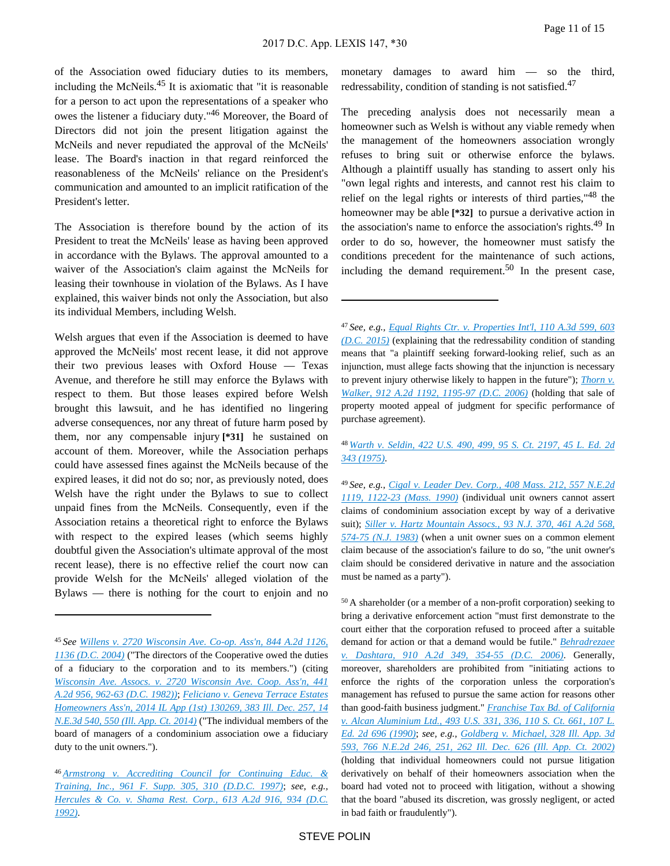of the Association owed fiduciary duties to its members, including the McNeils. $45$  It is axiomatic that "it is reasonable for a person to act upon the representations of a speaker who owes the listener a fiduciary duty."46 Moreover, the Board of Directors did not join the present litigation against the McNeils and never repudiated the approval of the McNeils' lease. The Board's inaction in that regard reinforced the reasonableness of the McNeils' reliance on the President's communication and amounted to an implicit ratification of the President's letter.

The Association is therefore bound by the action of its President to treat the McNeils' lease as having been approved in accordance with the Bylaws. The approval amounted to a waiver of the Association's claim against the McNeils for leasing their townhouse in violation of the Bylaws. As I have explained, this waiver binds not only the Association, but also its individual Members, including Welsh.

Welsh argues that even if the Association is deemed to have approved the McNeils' most recent lease, it did not approve their two previous leases with Oxford House — Texas Avenue, and therefore he still may enforce the Bylaws with respect to them. But those leases expired before Welsh brought this lawsuit, and he has identified no lingering adverse consequences, nor any threat of future harm posed by them, nor any compensable injury **[\*31]** he sustained on account of them. Moreover, while the Association perhaps could have assessed fines against the McNeils because of the expired leases, it did not do so; nor, as previously noted, does Welsh have the right under the Bylaws to sue to collect unpaid fines from the McNeils. Consequently, even if the Association retains a theoretical right to enforce the Bylaws with respect to the expired leases (which seems highly doubtful given the Association's ultimate approval of the most recent lease), there is no effective relief the court now can provide Welsh for the McNeils' alleged violation of the Bylaws — there is nothing for the court to enjoin and no

monetary damages to award him — so the third, redressability, condition of standing is not satisfied.<sup>47</sup>

The preceding analysis does not necessarily mean a homeowner such as Welsh is without any viable remedy when the management of the homeowners association wrongly refuses to bring suit or otherwise enforce the bylaws. Although a plaintiff usually has standing to assert only his "own legal rights and interests, and cannot rest his claim to relief on the legal rights or interests of third parties,"<sup>48</sup> the homeowner may be able **[\*32]** to pursue a derivative action in the association's name to enforce the association's rights.<sup>49</sup> In order to do so, however, the homeowner must satisfy the conditions precedent for the maintenance of such actions, including the demand requirement.<sup>50</sup> In the present case,

<sup>48</sup>*[Warth v. Seldin, 422 U.S. 490, 499, 95 S. Ct. 2197, 45 L. Ed. 2d](https://advance.lexis.com/api/document?collection=cases&id=urn:contentItem:3S4X-BGK0-003B-S1WN-00000-00&context=)  [343 \(1975\)](https://advance.lexis.com/api/document?collection=cases&id=urn:contentItem:3S4X-BGK0-003B-S1WN-00000-00&context=)*.

<sup>49</sup>*See, e.g., [Cigal v. Leader Dev. Corp., 408 Mass. 212, 557 N.E.2d](https://advance.lexis.com/api/document?collection=cases&id=urn:contentItem:3RX4-42T0-003C-V55Y-00000-00&context=)  [1119, 1122-23 \(Mass. 1990\)](https://advance.lexis.com/api/document?collection=cases&id=urn:contentItem:3RX4-42T0-003C-V55Y-00000-00&context=)* (individual unit owners cannot assert claims of condominium association except by way of a derivative suit); *[Siller v. Hartz Mountain Assocs., 93 N.J. 370, 461 A.2d 568,](https://advance.lexis.com/api/document?collection=cases&id=urn:contentItem:3S3J-W1N0-003C-P3WP-00000-00&context=)  [574-75 \(N.J. 1983\)](https://advance.lexis.com/api/document?collection=cases&id=urn:contentItem:3S3J-W1N0-003C-P3WP-00000-00&context=)* (when a unit owner sues on a common element claim because of the association's failure to do so, "the unit owner's claim should be considered derivative in nature and the association must be named as a party").

<sup>50</sup>A shareholder (or a member of a non-profit corporation) seeking to bring a derivative enforcement action "must first demonstrate to the court either that the corporation refused to proceed after a suitable demand for action or that a demand would be futile." *[Behradrezaee](https://advance.lexis.com/api/document?collection=cases&id=urn:contentItem:4M9H-V760-0039-448N-00000-00&context=)  [v. Dashtara, 910 A.2d 349, 354-55 \(D.C. 2006\)](https://advance.lexis.com/api/document?collection=cases&id=urn:contentItem:4M9H-V760-0039-448N-00000-00&context=)*. Generally, moreover, shareholders are prohibited from "initiating actions to enforce the rights of the corporation unless the corporation's management has refused to pursue the same action for reasons other than good-faith business judgment." *[Franchise Tax Bd. of California](https://advance.lexis.com/api/document?collection=cases&id=urn:contentItem:3S4X-8GS0-003B-42B2-00000-00&context=)  [v. Alcan Aluminium Ltd., 493 U.S. 331, 336, 110 S. Ct. 661, 107 L.](https://advance.lexis.com/api/document?collection=cases&id=urn:contentItem:3S4X-8GS0-003B-42B2-00000-00&context=)  [Ed. 2d 696 \(1990\)](https://advance.lexis.com/api/document?collection=cases&id=urn:contentItem:3S4X-8GS0-003B-42B2-00000-00&context=)*; *see, e.g., [Goldberg v. Michael, 328 Ill. App. 3d](https://advance.lexis.com/api/document?collection=cases&id=urn:contentItem:4547-9FY0-0039-40CT-00000-00&context=)  [593, 766 N.E.2d 246, 251, 262 Ill. Dec. 626 \(Ill. App. Ct. 2002\)](https://advance.lexis.com/api/document?collection=cases&id=urn:contentItem:4547-9FY0-0039-40CT-00000-00&context=)* (holding that individual homeowners could not pursue litigation derivatively on behalf of their homeowners association when the board had voted not to proceed with litigation, without a showing that the board "abused its discretion, was grossly negligent, or acted in bad faith or fraudulently").

<sup>45</sup>*See [Willens v. 2720 Wisconsin Ave. Co-op. Ass'n, 844 A.2d 1126,](https://advance.lexis.com/api/document?collection=cases&id=urn:contentItem:4BYR-4VR0-0039-437J-00000-00&context=)  [1136 \(D.C. 2004\)](https://advance.lexis.com/api/document?collection=cases&id=urn:contentItem:4BYR-4VR0-0039-437J-00000-00&context=)* ("The directors of the Cooperative owed the duties of a fiduciary to the corporation and to its members.") (citing *[Wisconsin Ave. Assocs. v. 2720 Wisconsin Ave. Coop. Ass'n, 441](https://advance.lexis.com/api/document?collection=cases&id=urn:contentItem:3RRT-9NH0-003G-10B3-00000-00&context=)  [A.2d 956, 962-63 \(D.C. 1982\)\)](https://advance.lexis.com/api/document?collection=cases&id=urn:contentItem:3RRT-9NH0-003G-10B3-00000-00&context=)*; *[Feliciano v. Geneva Terrace Estates](https://advance.lexis.com/api/document?collection=cases&id=urn:contentItem:5CHN-CCF1-F04G-301K-00000-00&context=)  [Homeowners Ass'n, 2014 IL App \(1st\) 130269, 383 Ill. Dec. 257, 14](https://advance.lexis.com/api/document?collection=cases&id=urn:contentItem:5CHN-CCF1-F04G-301K-00000-00&context=)  [N.E.3d 540, 550 \(Ill. App. Ct. 2014\)](https://advance.lexis.com/api/document?collection=cases&id=urn:contentItem:5CHN-CCF1-F04G-301K-00000-00&context=)* ("The individual members of the board of managers of a condominium association owe a fiduciary duty to the unit owners.").

<sup>46</sup>*[Armstrong v. Accrediting Council for Continuing Educ. &](https://advance.lexis.com/api/document?collection=cases&id=urn:contentItem:3S4N-CN60-00B1-F275-00000-00&context=)  [Training, Inc., 961 F. Supp. 305, 310 \(D.D.C. 1997\)](https://advance.lexis.com/api/document?collection=cases&id=urn:contentItem:3S4N-CN60-00B1-F275-00000-00&context=)*; *see, e.g., [Hercules & Co. v. Shama Rest. Corp., 613 A.2d 916, 934 \(D.C.](https://advance.lexis.com/api/document?collection=cases&id=urn:contentItem:3RRT-8WC0-003G-11TN-00000-00&context=)  [1992\)](https://advance.lexis.com/api/document?collection=cases&id=urn:contentItem:3RRT-8WC0-003G-11TN-00000-00&context=)*.

<sup>47</sup>*See, e.g., [Equal Rights Ctr. v. Properties Int'l, 110 A.3d 599, 603](https://advance.lexis.com/api/document?collection=cases&id=urn:contentItem:5FCW-2VT1-F04C-F00H-00000-00&context=)  [\(D.C. 2015\)](https://advance.lexis.com/api/document?collection=cases&id=urn:contentItem:5FCW-2VT1-F04C-F00H-00000-00&context=)* (explaining that the redressability condition of standing means that "a plaintiff seeking forward-looking relief, such as an injunction, must allege facts showing that the injunction is necessary to prevent injury otherwise likely to happen in the future"); *[Thorn v.](https://advance.lexis.com/api/document?collection=cases&id=urn:contentItem:4MMG-K8P0-0039-40HD-00000-00&context=)  [Walker, 912 A.2d 1192, 1195-97 \(D.C. 2006\)](https://advance.lexis.com/api/document?collection=cases&id=urn:contentItem:4MMG-K8P0-0039-40HD-00000-00&context=)* (holding that sale of property mooted appeal of judgment for specific performance of purchase agreement).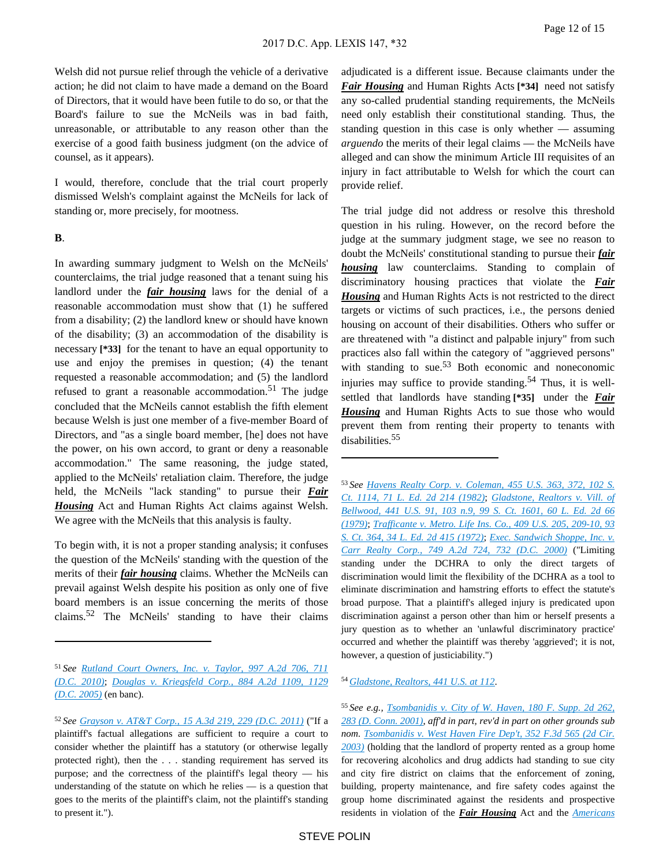Welsh did not pursue relief through the vehicle of a derivative action; he did not claim to have made a demand on the Board of Directors, that it would have been futile to do so, or that the Board's failure to sue the McNeils was in bad faith, unreasonable, or attributable to any reason other than the exercise of a good faith business judgment (on the advice of counsel, as it appears).

I would, therefore, conclude that the trial court properly dismissed Welsh's complaint against the McNeils for lack of standing or, more precisely, for mootness.

#### **B**.

In awarding summary judgment to Welsh on the McNeils' counterclaims, the trial judge reasoned that a tenant suing his landlord under the *fair housing* laws for the denial of a reasonable accommodation must show that (1) he suffered from a disability; (2) the landlord knew or should have known of the disability; (3) an accommodation of the disability is necessary **[\*33]** for the tenant to have an equal opportunity to use and enjoy the premises in question; (4) the tenant requested a reasonable accommodation; and (5) the landlord refused to grant a reasonable accommodation.<sup>51</sup> The judge concluded that the McNeils cannot establish the fifth element because Welsh is just one member of a five-member Board of Directors, and "as a single board member, [he] does not have the power, on his own accord, to grant or deny a reasonable accommodation." The same reasoning, the judge stated, applied to the McNeils' retaliation claim. Therefore, the judge held, the McNeils "lack standing" to pursue their *Fair Housing* Act and Human Rights Act claims against Welsh. We agree with the McNeils that this analysis is faulty.

To begin with, it is not a proper standing analysis; it confuses the question of the McNeils' standing with the question of the merits of their *fair housing* claims. Whether the McNeils can prevail against Welsh despite his position as only one of five board members is an issue concerning the merits of those claims.52 The McNeils' standing to have their claims

adjudicated is a different issue. Because claimants under the *Fair Housing* and Human Rights Acts **[\*34]** need not satisfy any so-called prudential standing requirements, the McNeils need only establish their constitutional standing. Thus, the standing question in this case is only whether — assuming *arguendo* the merits of their legal claims — the McNeils have alleged and can show the minimum Article III requisites of an injury in fact attributable to Welsh for which the court can provide relief.

The trial judge did not address or resolve this threshold question in his ruling. However, on the record before the judge at the summary judgment stage, we see no reason to doubt the McNeils' constitutional standing to pursue their *fair housing* law counterclaims. Standing to complain of discriminatory housing practices that violate the *Fair Housing* and Human Rights Acts is not restricted to the direct targets or victims of such practices, i.e., the persons denied housing on account of their disabilities. Others who suffer or are threatened with "a distinct and palpable injury" from such practices also fall within the category of "aggrieved persons" with standing to sue. $53$  Both economic and noneconomic injuries may suffice to provide standing.<sup>54</sup> Thus, it is wellsettled that landlords have standing **[\*35]** under the *Fair Housing* and Human Rights Acts to sue those who would prevent them from renting their property to tenants with disabilities.<sup>55</sup>

<sup>53</sup>*See [Havens Realty Corp. v. Coleman, 455 U.S. 363, 372, 102 S.](https://advance.lexis.com/api/document?collection=cases&id=urn:contentItem:3S4X-5RB0-003B-S1M3-00000-00&context=)  [Ct. 1114, 71 L. Ed. 2d 214 \(1982\)](https://advance.lexis.com/api/document?collection=cases&id=urn:contentItem:3S4X-5RB0-003B-S1M3-00000-00&context=)*; *[Gladstone, Realtors v. Vill. of](https://advance.lexis.com/api/document?collection=cases&id=urn:contentItem:3S4X-89C0-003B-S26B-00000-00&context=)  [Bellwood, 441 U.S. 91, 103 n.9, 99 S. Ct. 1601, 60 L. Ed. 2d 66](https://advance.lexis.com/api/document?collection=cases&id=urn:contentItem:3S4X-89C0-003B-S26B-00000-00&context=)  [\(1979\)](https://advance.lexis.com/api/document?collection=cases&id=urn:contentItem:3S4X-89C0-003B-S26B-00000-00&context=)*; *[Trafficante v. Metro. Life Ins. Co., 409 U.S. 205, 209-10, 93](https://advance.lexis.com/api/document?collection=cases&id=urn:contentItem:3S4X-D1R0-003B-S561-00000-00&context=)  [S. Ct. 364, 34 L. Ed. 2d 415 \(1972\)](https://advance.lexis.com/api/document?collection=cases&id=urn:contentItem:3S4X-D1R0-003B-S561-00000-00&context=)*; *[Exec. Sandwich Shoppe, Inc. v.](https://advance.lexis.com/api/document?collection=cases&id=urn:contentItem:401J-VD60-0039-4366-00000-00&context=)  [Carr Realty Corp., 749 A.2d 724, 732 \(D.C. 2000\)](https://advance.lexis.com/api/document?collection=cases&id=urn:contentItem:401J-VD60-0039-4366-00000-00&context=)* ("Limiting standing under the DCHRA to only the direct targets of discrimination would limit the flexibility of the DCHRA as a tool to eliminate discrimination and hamstring efforts to effect the statute's broad purpose. That a plaintiff's alleged injury is predicated upon discrimination against a person other than him or herself presents a jury question as to whether an 'unlawful discriminatory practice' occurred and whether the plaintiff was thereby 'aggrieved'; it is not, however, a question of justiciability.")

#### <sup>54</sup>*[Gladstone, Realtors, 441 U.S. at 112](https://advance.lexis.com/api/document?collection=cases&id=urn:contentItem:3S4X-89C0-003B-S26B-00000-00&context=)*.

<sup>55</sup>*See e.g., [Tsombanidis v. City of W. Haven, 180 F. Supp. 2d 262,](https://advance.lexis.com/api/document?collection=cases&id=urn:contentItem:44YH-3PM0-0038-Y2MP-00000-00&context=)  [283 \(D. Conn. 2001\)](https://advance.lexis.com/api/document?collection=cases&id=urn:contentItem:44YH-3PM0-0038-Y2MP-00000-00&context=)*, *aff'd in part, rev'd in part on other grounds sub nom. [Tsombanidis v. West Haven Fire Dep't, 352 F.3d 565 \(2d Cir.](https://advance.lexis.com/api/document?collection=cases&id=urn:contentItem:4B7H-MTJ0-0038-X463-00000-00&context=)  [2003\)](https://advance.lexis.com/api/document?collection=cases&id=urn:contentItem:4B7H-MTJ0-0038-X463-00000-00&context=)* (holding that the landlord of property rented as a group home for recovering alcoholics and drug addicts had standing to sue city and city fire district on claims that the enforcement of zoning, building, property maintenance, and fire safety codes against the group home discriminated against the residents and prospective residents in violation of the *Fair Housing* Act and the *[Americans](https://advance.lexis.com/api/document?collection=statutes-legislation&id=urn:contentItem:4YF7-GP51-NRF4-40G1-00000-00&context=)* 

<sup>51</sup>*See [Rutland Court Owners, Inc. v. Taylor, 997 A.2d 706, 711](https://advance.lexis.com/api/document?collection=cases&id=urn:contentItem:7YWN-RCV1-2RHJ-K00B-00000-00&context=)  [\(D.C. 2010\)](https://advance.lexis.com/api/document?collection=cases&id=urn:contentItem:7YWN-RCV1-2RHJ-K00B-00000-00&context=)*; *[Douglas v. Kriegsfeld Corp., 884 A.2d 1109, 1129](https://advance.lexis.com/api/document?collection=cases&id=urn:contentItem:4HB6-6MF0-0039-448N-00000-00&context=)  [\(D.C. 2005\)](https://advance.lexis.com/api/document?collection=cases&id=urn:contentItem:4HB6-6MF0-0039-448N-00000-00&context=)* (en banc).

<sup>52</sup>*See [Grayson v. AT&T Corp., 15 A.3d 219, 229 \(D.C. 2011\)](https://advance.lexis.com/api/document?collection=cases&id=urn:contentItem:520D-STK1-652G-W00D-00000-00&context=)* ("If a plaintiff's factual allegations are sufficient to require a court to consider whether the plaintiff has a statutory (or otherwise legally protected right), then the . . . standing requirement has served its purpose; and the correctness of the plaintiff's legal theory — his understanding of the statute on which he relies — is a question that goes to the merits of the plaintiff's claim, not the plaintiff's standing to present it.").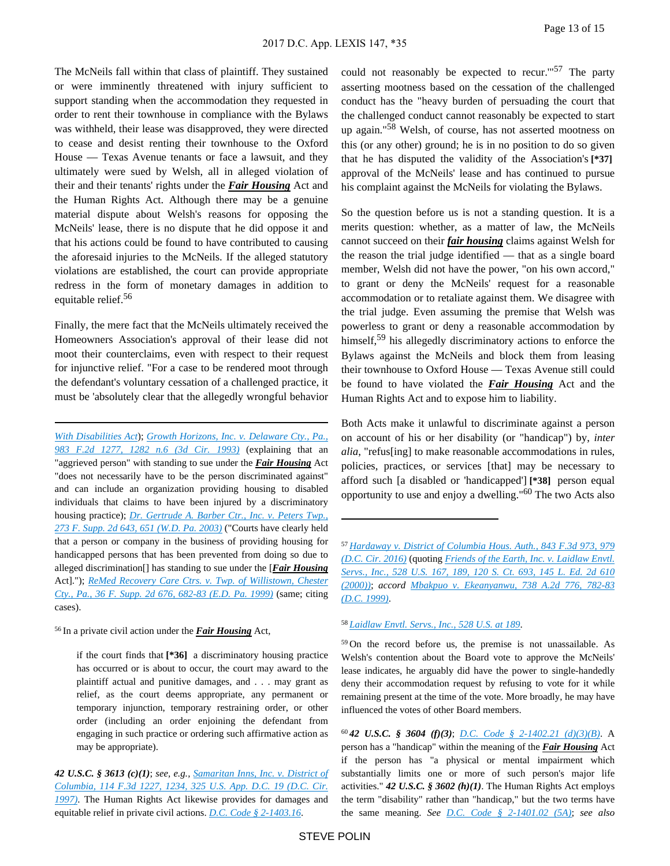The McNeils fall within that class of plaintiff. They sustained or were imminently threatened with injury sufficient to support standing when the accommodation they requested in order to rent their townhouse in compliance with the Bylaws was withheld, their lease was disapproved, they were directed to cease and desist renting their townhouse to the Oxford House — Texas Avenue tenants or face a lawsuit, and they ultimately were sued by Welsh, all in alleged violation of their and their tenants' rights under the *Fair Housing* Act and the Human Rights Act. Although there may be a genuine material dispute about Welsh's reasons for opposing the McNeils' lease, there is no dispute that he did oppose it and that his actions could be found to have contributed to causing the aforesaid injuries to the McNeils. If the alleged statutory violations are established, the court can provide appropriate redress in the form of monetary damages in addition to equitable relief.<sup>56</sup>

Finally, the mere fact that the McNeils ultimately received the Homeowners Association's approval of their lease did not moot their counterclaims, even with respect to their request for injunctive relief. "For a case to be rendered moot through the defendant's voluntary cessation of a challenged practice, it must be 'absolutely clear that the allegedly wrongful behavior

*[With Disabilities Act](https://advance.lexis.com/api/document?collection=statutes-legislation&id=urn:contentItem:4YF7-GP51-NRF4-40G1-00000-00&context=)*); *[Growth Horizons, Inc. v. Delaware Cty., Pa.,](https://advance.lexis.com/api/document?collection=cases&id=urn:contentItem:3S4X-J1W0-003B-P0M6-00000-00&context=)  [983 F.2d 1277, 1282 n.6 \(3d Cir. 1993\)](https://advance.lexis.com/api/document?collection=cases&id=urn:contentItem:3S4X-J1W0-003B-P0M6-00000-00&context=)* (explaining that an "aggrieved person" with standing to sue under the *Fair Housing* Act "does not necessarily have to be the person discriminated against" and can include an organization providing housing to disabled individuals that claims to have been injured by a discriminatory housing practice); *[Dr. Gertrude A. Barber Ctr., Inc. v. Peters Twp.,](https://advance.lexis.com/api/document?collection=cases&id=urn:contentItem:49T3-3V20-0038-Y3HV-00000-00&context=)  [273 F. Supp. 2d 643, 651 \(W.D. Pa. 2003\)](https://advance.lexis.com/api/document?collection=cases&id=urn:contentItem:49T3-3V20-0038-Y3HV-00000-00&context=)* ("Courts have clearly held that a person or company in the business of providing housing for handicapped persons that has been prevented from doing so due to alleged discrimination[] has standing to sue under the [*Fair Housing* Act]."); *[ReMed Recovery Care Ctrs. v. Twp. of Willistown, Chester](https://advance.lexis.com/api/document?collection=cases&id=urn:contentItem:3VTW-FBX0-0038-Y1GW-00000-00&context=)  [Cty., Pa., 36 F. Supp. 2d 676, 682-83 \(E.D. Pa. 1999\)](https://advance.lexis.com/api/document?collection=cases&id=urn:contentItem:3VTW-FBX0-0038-Y1GW-00000-00&context=)* (same; citing cases).

<sup>56</sup>In a private civil action under the *Fair Housing* Act,

if the court finds that **[\*36]** a discriminatory housing practice has occurred or is about to occur, the court may award to the plaintiff actual and punitive damages, and . . . may grant as relief, as the court deems appropriate, any permanent or temporary injunction, temporary restraining order, or other order (including an order enjoining the defendant from engaging in such practice or ordering such affirmative action as may be appropriate).

*42 U.S.C. § 3613 (c)(1)*; *see, e.g., [Samaritan Inns, Inc. v. District of](https://advance.lexis.com/api/document?collection=cases&id=urn:contentItem:3RPN-MSV0-00B1-D1SF-00000-00&context=)  [Columbia, 114 F.3d 1227, 1234, 325 U.S. App. D.C. 19 \(D.C. Cir.](https://advance.lexis.com/api/document?collection=cases&id=urn:contentItem:3RPN-MSV0-00B1-D1SF-00000-00&context=)  [1997\)](https://advance.lexis.com/api/document?collection=cases&id=urn:contentItem:3RPN-MSV0-00B1-D1SF-00000-00&context=)*. The Human Rights Act likewise provides for damages and equitable relief in private civil actions. *[D.C. Code § 2-1403.16](https://advance.lexis.com/api/document?collection=statutes-legislation&id=urn:contentItem:5GPB-RJD1-DXC8-049C-00000-00&context=)*.

could not reasonably be expected to recur.'"57 The party asserting mootness based on the cessation of the challenged conduct has the "heavy burden of persuading the court that the challenged conduct cannot reasonably be expected to start up again."58 Welsh, of course, has not asserted mootness on this (or any other) ground; he is in no position to do so given that he has disputed the validity of the Association's **[\*37]**  approval of the McNeils' lease and has continued to pursue his complaint against the McNeils for violating the Bylaws.

So the question before us is not a standing question. It is a merits question: whether, as a matter of law, the McNeils cannot succeed on their *fair housing* claims against Welsh for the reason the trial judge identified — that as a single board member, Welsh did not have the power, "on his own accord," to grant or deny the McNeils' request for a reasonable accommodation or to retaliate against them. We disagree with the trial judge. Even assuming the premise that Welsh was powerless to grant or deny a reasonable accommodation by himself,<sup>59</sup> his allegedly discriminatory actions to enforce the Bylaws against the McNeils and block them from leasing their townhouse to Oxford House — Texas Avenue still could be found to have violated the *Fair Housing* Act and the Human Rights Act and to expose him to liability.

Both Acts make it unlawful to discriminate against a person on account of his or her disability (or "handicap") by, *inter alia*, "refus[ing] to make reasonable accommodations in rules, policies, practices, or services [that] may be necessary to afford such [a disabled or 'handicapped'] **[\*38]** person equal opportunity to use and enjoy a dwelling."60 The two Acts also

### <sup>58</sup>*[Laidlaw Envtl. Servs., Inc., 528 U.S. at 189](https://advance.lexis.com/api/document?collection=cases&id=urn:contentItem:3Y9W-CBJ0-004B-Y027-00000-00&context=)*.

<sup>60</sup>*42 U.S.C. § 3604 (f)(3)*; *[D.C. Code § 2-1402.21 \(d\)\(3\)\(B\)](https://advance.lexis.com/api/document?collection=statutes-legislation&id=urn:contentItem:5CC4-MFR1-6NSS-B4YX-00000-00&context=)*. A person has a "handicap" within the meaning of the *Fair Housing* Act if the person has "a physical or mental impairment which substantially limits one or more of such person's major life activities." *42 U.S.C. § 3602 (h)(1)*. The Human Rights Act employs the term "disability" rather than "handicap," but the two terms have the same meaning. *See [D.C. Code § 2-1401.02 \(5A\)](https://advance.lexis.com/api/document?collection=statutes-legislation&id=urn:contentItem:5CC4-MFR1-6NSS-B4YG-00000-00&context=)*; *see also* 

<sup>57</sup>*[Hardaway v. District of Columbia Hous. Auth., 843 F.3d 973, 979](https://advance.lexis.com/api/document?collection=cases&id=urn:contentItem:5MDD-1261-F04K-Y042-00000-00&context=)  [\(D.C. Cir. 2016\)](https://advance.lexis.com/api/document?collection=cases&id=urn:contentItem:5MDD-1261-F04K-Y042-00000-00&context=)* (quoting *[Friends of the Earth, Inc. v. Laidlaw Envtl.](https://advance.lexis.com/api/document?collection=cases&id=urn:contentItem:3Y9W-CBJ0-004B-Y027-00000-00&context=)  [Servs., Inc., 528 U.S. 167, 189, 120 S. Ct. 693, 145 L. Ed. 2d 610](https://advance.lexis.com/api/document?collection=cases&id=urn:contentItem:3Y9W-CBJ0-004B-Y027-00000-00&context=)  [\(2000\)\)](https://advance.lexis.com/api/document?collection=cases&id=urn:contentItem:3Y9W-CBJ0-004B-Y027-00000-00&context=)*; *accord [Mbakpuo v. Ekeanyanwu, 738 A.2d 776, 782-83](https://advance.lexis.com/api/document?collection=cases&id=urn:contentItem:3XJP-PN20-0039-4077-00000-00&context=)  [\(D.C. 1999\)](https://advance.lexis.com/api/document?collection=cases&id=urn:contentItem:3XJP-PN20-0039-4077-00000-00&context=)*.

<sup>59</sup>On the record before us, the premise is not unassailable. As Welsh's contention about the Board vote to approve the McNeils' lease indicates, he arguably did have the power to single-handedly deny their accommodation request by refusing to vote for it while remaining present at the time of the vote. More broadly, he may have influenced the votes of other Board members.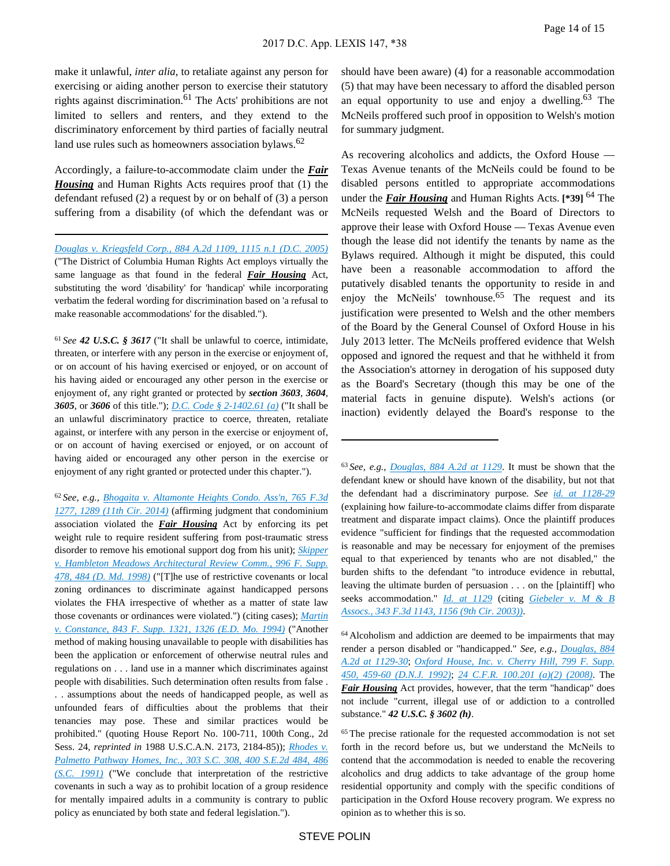make it unlawful, *inter alia*, to retaliate against any person for exercising or aiding another person to exercise their statutory rights against discrimination.<sup>61</sup> The Acts' prohibitions are not limited to sellers and renters, and they extend to the discriminatory enforcement by third parties of facially neutral land use rules such as homeowners association bylaws.<sup>62</sup>

Accordingly, a failure-to-accommodate claim under the *Fair Housing* and Human Rights Acts requires proof that (1) the defendant refused (2) a request by or on behalf of (3) a person suffering from a disability (of which the defendant was or

*[Douglas v. Kriegsfeld Corp., 884 A.2d 1109, 1115 n.1 \(D.C. 2005\)](https://advance.lexis.com/api/document?collection=cases&id=urn:contentItem:4HB6-6MF0-0039-448N-00000-00&context=)* ("The District of Columbia Human Rights Act employs virtually the same language as that found in the federal *Fair Housing* Act, substituting the word 'disability' for 'handicap' while incorporating verbatim the federal wording for discrimination based on 'a refusal to make reasonable accommodations' for the disabled.").

<sup>61</sup>*See 42 U.S.C. § 3617* ("It shall be unlawful to coerce, intimidate, threaten, or interfere with any person in the exercise or enjoyment of, or on account of his having exercised or enjoyed, or on account of his having aided or encouraged any other person in the exercise or enjoyment of, any right granted or protected by *section 3603*, *3604*, *3605*, or *3606* of this title."); *[D.C. Code § 2-1402.61 \(a\)](https://advance.lexis.com/api/document?collection=statutes-legislation&id=urn:contentItem:5CC4-MFR1-6NSS-B50D-00000-00&context=)* ("It shall be an unlawful discriminatory practice to coerce, threaten, retaliate against, or interfere with any person in the exercise or enjoyment of, or on account of having exercised or enjoyed, or on account of having aided or encouraged any other person in the exercise or enjoyment of any right granted or protected under this chapter.").

<sup>62</sup>*See, e.g., [Bhogaita v. Altamonte Heights Condo. Ass'n, 765 F.3d](https://advance.lexis.com/api/document?collection=cases&id=urn:contentItem:5D0W-7YR1-F04K-X08X-00000-00&context=)  [1277, 1289 \(11th Cir. 2014\)](https://advance.lexis.com/api/document?collection=cases&id=urn:contentItem:5D0W-7YR1-F04K-X08X-00000-00&context=)* (affirming judgment that condominium association violated the *Fair Housing* Act by enforcing its pet weight rule to require resident suffering from post-traumatic stress disorder to remove his emotional support dog from his unit); *[Skipper](https://advance.lexis.com/api/document?collection=cases&id=urn:contentItem:3S6K-95D0-0038-Y399-00000-00&context=)  [v. Hambleton Meadows Architectural Review Comm., 996 F. Supp.](https://advance.lexis.com/api/document?collection=cases&id=urn:contentItem:3S6K-95D0-0038-Y399-00000-00&context=)  [478, 484 \(D. Md. 1998\)](https://advance.lexis.com/api/document?collection=cases&id=urn:contentItem:3S6K-95D0-0038-Y399-00000-00&context=)* ("[T]he use of restrictive covenants or local zoning ordinances to discriminate against handicapped persons violates the FHA irrespective of whether as a matter of state law those covenants or ordinances were violated.") (citing cases); *[Martin](https://advance.lexis.com/api/document?collection=cases&id=urn:contentItem:3S4N-SR90-003B-V2BD-00000-00&context=)  [v. Constance, 843 F. Supp. 1321, 1326 \(E.D. Mo. 1994\)](https://advance.lexis.com/api/document?collection=cases&id=urn:contentItem:3S4N-SR90-003B-V2BD-00000-00&context=)* ("Another method of making housing unavailable to people with disabilities has been the application or enforcement of otherwise neutral rules and regulations on . . . land use in a manner which discriminates against people with disabilities. Such determination often results from false . . . assumptions about the needs of handicapped people, as well as unfounded fears of difficulties about the problems that their tenancies may pose. These and similar practices would be prohibited." (quoting House Report No. 100-711, 100th Cong., 2d Sess. 24, *reprinted in* 1988 U.S.C.A.N. 2173, 2184-85)); *[Rhodes v.](https://advance.lexis.com/api/document?collection=cases&id=urn:contentItem:3RVJ-CS10-003G-C3BJ-00000-00&context=)  [Palmetto Pathway Homes, Inc., 303 S.C. 308, 400 S.E.2d 484, 486](https://advance.lexis.com/api/document?collection=cases&id=urn:contentItem:3RVJ-CS10-003G-C3BJ-00000-00&context=)  [\(S.C. 1991\)](https://advance.lexis.com/api/document?collection=cases&id=urn:contentItem:3RVJ-CS10-003G-C3BJ-00000-00&context=)* ("We conclude that interpretation of the restrictive covenants in such a way as to prohibit location of a group residence for mentally impaired adults in a community is contrary to public policy as enunciated by both state and federal legislation.").

should have been aware) (4) for a reasonable accommodation (5) that may have been necessary to afford the disabled person an equal opportunity to use and enjoy a dwelling. $63$  The McNeils proffered such proof in opposition to Welsh's motion for summary judgment.

As recovering alcoholics and addicts, the Oxford House — Texas Avenue tenants of the McNeils could be found to be disabled persons entitled to appropriate accommodations under the *Fair Housing* and Human Rights Acts. **[\*39]** 64 The McNeils requested Welsh and the Board of Directors to approve their lease with Oxford House — Texas Avenue even though the lease did not identify the tenants by name as the Bylaws required. Although it might be disputed, this could have been a reasonable accommodation to afford the putatively disabled tenants the opportunity to reside in and enjoy the McNeils' townhouse.<sup>65</sup> The request and its justification were presented to Welsh and the other members of the Board by the General Counsel of Oxford House in his July 2013 letter. The McNeils proffered evidence that Welsh opposed and ignored the request and that he withheld it from the Association's attorney in derogation of his supposed duty as the Board's Secretary (though this may be one of the material facts in genuine dispute). Welsh's actions (or inaction) evidently delayed the Board's response to the

<sup>64</sup>Alcoholism and addiction are deemed to be impairments that may render a person disabled or "handicapped." *See, e.g., [Douglas, 884](https://advance.lexis.com/api/document?collection=cases&id=urn:contentItem:4HB6-6MF0-0039-448N-00000-00&context=)  [A.2d at 1129-30](https://advance.lexis.com/api/document?collection=cases&id=urn:contentItem:4HB6-6MF0-0039-448N-00000-00&context=)*; *[Oxford House, Inc. v. Cherry Hill, 799 F. Supp.](https://advance.lexis.com/api/document?collection=cases&id=urn:contentItem:3S4N-GPD0-008H-F367-00000-00&context=)  [450, 459-60 \(D.N.J. 1992\)](https://advance.lexis.com/api/document?collection=cases&id=urn:contentItem:3S4N-GPD0-008H-F367-00000-00&context=)*; *[24 C.F.R. 100.201 \(a\)\(2\) \(2008\)](https://advance.lexis.com/api/document?collection=administrative-codes&id=urn:contentItem:5MD7-1KX0-008G-Y3M4-00000-00&context=)*. The *Fair Housing* Act provides, however, that the term "handicap" does not include "current, illegal use of or addiction to a controlled substance." *42 U.S.C. § 3602 (h)*.

<sup>65</sup>The precise rationale for the requested accommodation is not set forth in the record before us, but we understand the McNeils to contend that the accommodation is needed to enable the recovering alcoholics and drug addicts to take advantage of the group home residential opportunity and comply with the specific conditions of participation in the Oxford House recovery program. We express no opinion as to whether this is so.

<sup>63</sup>*See, e.g., [Douglas, 884 A.2d at 1129](https://advance.lexis.com/api/document?collection=cases&id=urn:contentItem:4HB6-6MF0-0039-448N-00000-00&context=)*. It must be shown that the defendant knew or should have known of the disability, but not that the defendant had a discriminatory purpose. *See [id. at 1128-29](https://advance.lexis.com/api/document?collection=cases&id=urn:contentItem:4HB6-6MF0-0039-448N-00000-00&context=)* (explaining how failure-to-accommodate claims differ from disparate treatment and disparate impact claims). Once the plaintiff produces evidence "sufficient for findings that the requested accommodation is reasonable and may be necessary for enjoyment of the premises equal to that experienced by tenants who are not disabled," the burden shifts to the defendant "to introduce evidence in rebuttal, leaving the ultimate burden of persuasion . . . on the [plaintiff] who seeks accommodation." *[Id. at 1129](https://advance.lexis.com/api/document?collection=cases&id=urn:contentItem:4HB6-6MF0-0039-448N-00000-00&context=)* (citing *[Giebeler v. M & B](https://advance.lexis.com/api/document?collection=cases&id=urn:contentItem:49J4-93T0-0038-X20W-00000-00&context=)  [Assocs., 343 F.3d 1143, 1156 \(9th Cir. 2003\)\)](https://advance.lexis.com/api/document?collection=cases&id=urn:contentItem:49J4-93T0-0038-X20W-00000-00&context=)*.